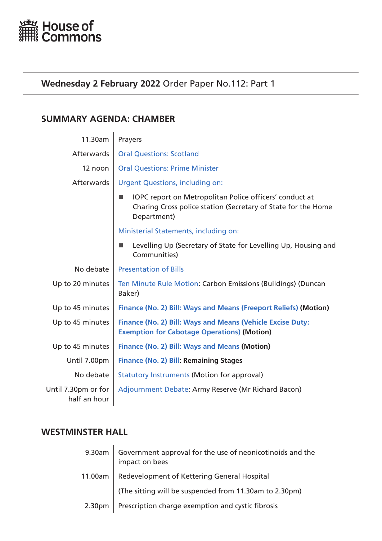<span id="page-0-0"></span>

# **Wednesday 2 February 2022** Order Paper No.112: Part 1

# **SUMMARY AGENDA: CHAMBER**

| 11.30am                             | Prayers                                                                                                                                 |
|-------------------------------------|-----------------------------------------------------------------------------------------------------------------------------------------|
| <b>Afterwards</b>                   | <b>Oral Questions: Scotland</b>                                                                                                         |
| 12 noon                             | <b>Oral Questions: Prime Minister</b>                                                                                                   |
| <b>Afterwards</b>                   | <b>Urgent Questions, including on:</b>                                                                                                  |
|                                     | IOPC report on Metropolitan Police officers' conduct at<br>Charing Cross police station (Secretary of State for the Home<br>Department) |
|                                     | Ministerial Statements, including on:                                                                                                   |
|                                     | Levelling Up (Secretary of State for Levelling Up, Housing and<br>Communities)                                                          |
| No debate                           | <b>Presentation of Bills</b>                                                                                                            |
| Up to 20 minutes                    | Ten Minute Rule Motion: Carbon Emissions (Buildings) (Duncan<br>Baker)                                                                  |
| Up to 45 minutes                    | Finance (No. 2) Bill: Ways and Means (Freeport Reliefs) (Motion)                                                                        |
| Up to 45 minutes                    | Finance (No. 2) Bill: Ways and Means (Vehicle Excise Duty:<br><b>Exemption for Cabotage Operations) (Motion)</b>                        |
| Up to 45 minutes                    | <b>Finance (No. 2) Bill: Ways and Means (Motion)</b>                                                                                    |
| Until 7.00pm                        | <b>Finance (No. 2) Bill: Remaining Stages</b>                                                                                           |
| No debate                           | <b>Statutory Instruments (Motion for approval)</b>                                                                                      |
| Until 7.30pm or for<br>half an hour | Adjournment Debate: Army Reserve (Mr Richard Bacon)                                                                                     |

# **WESTMINSTER HALL**

|                    | 9.30am Government approval for the use of neonicotinoids and the<br>impact on bees |  |
|--------------------|------------------------------------------------------------------------------------|--|
| 11.00am            | Redevelopment of Kettering General Hospital                                        |  |
|                    | (The sitting will be suspended from 11.30am to 2.30pm)                             |  |
| 2.30 <sub>pm</sub> | Prescription charge exemption and cystic fibrosis                                  |  |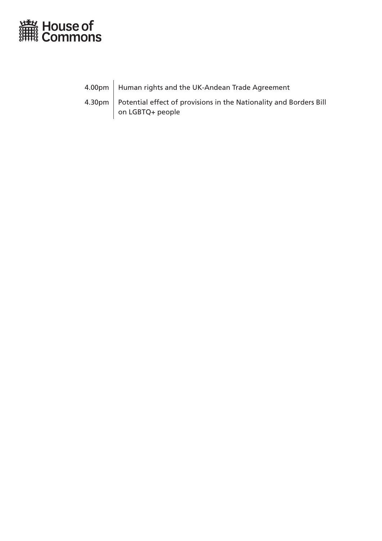

4.00pm | Human rights and the UK-Andean Trade Agreement

4.30pm | Potential effect of provisions in the Nationality and Borders Bill on LGBTQ+ people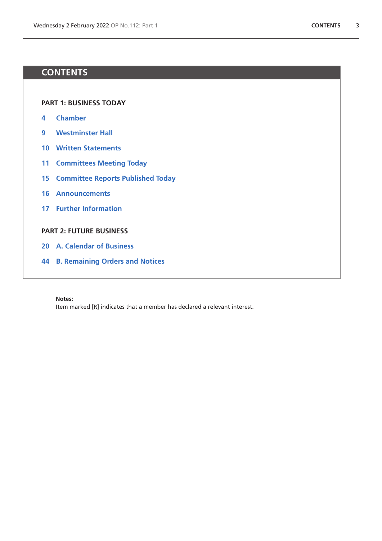# **CONTENTS**

**[PART 1: BUSINESS TODAY](#page-0-0)**

- **4 [Chamber](#page-3-1)**
- **9 [Westminster Hall](#page-8-0)**
- **10 [Written Statements](#page-9-0)**
- **11 [Committees Meeting Today](#page-10-0)**
- **15 [Committee Reports Published Today](#page-14-0)**
- **16 [Announcements](#page-15-0)**
- **17 [Further Information](#page-16-0)**

## **[PART 2: FUTURE BUSINESS](#page-18-0)**

- **20 [A. Calendar of Business](#page-19-0)**
- **44 [B. Remaining Orders and Notices](#page-43-0)**

#### **Notes:**

Item marked [R] indicates that a member has declared a relevant interest.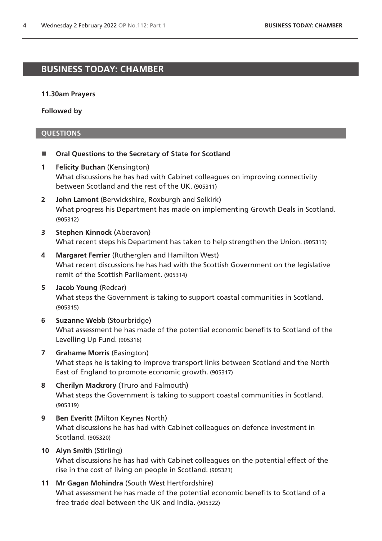# <span id="page-3-1"></span>**BUSINESS TODAY: CHAMBER**

## **11.30am Prayers**

**Followed by**

# <span id="page-3-0"></span>**QUESTIONS**

- Oral Questions to the Secretary of State for Scotland
- **1 Felicity Buchan** (Kensington) What discussions he has had with Cabinet colleagues on improving connectivity between Scotland and the rest of the UK. (905311)
- **2 John Lamont** (Berwickshire, Roxburgh and Selkirk) What progress his Department has made on implementing Growth Deals in Scotland. (905312)
- **3 Stephen Kinnock** (Aberavon) What recent steps his Department has taken to help strengthen the Union. (905313)
- **4 Margaret Ferrier** (Rutherglen and Hamilton West) What recent discussions he has had with the Scottish Government on the legislative remit of the Scottish Parliament. (905314)
- **5 Jacob Young** (Redcar) What steps the Government is taking to support coastal communities in Scotland. (905315)
- **6 Suzanne Webb** (Stourbridge) What assessment he has made of the potential economic benefits to Scotland of the Levelling Up Fund. (905316)
- **7 Grahame Morris** (Easington) What steps he is taking to improve transport links between Scotland and the North East of England to promote economic growth. (905317)
- **8 Cherilyn Mackrory** (Truro and Falmouth) What steps the Government is taking to support coastal communities in Scotland. (905319)
- **9 Ben Everitt** (Milton Keynes North) What discussions he has had with Cabinet colleagues on defence investment in Scotland. (905320)
- **10 Alyn Smith** (Stirling) What discussions he has had with Cabinet colleagues on the potential effect of the rise in the cost of living on people in Scotland. (905321)
- **11 Mr Gagan Mohindra** (South West Hertfordshire) What assessment he has made of the potential economic benefits to Scotland of a free trade deal between the UK and India. (905322)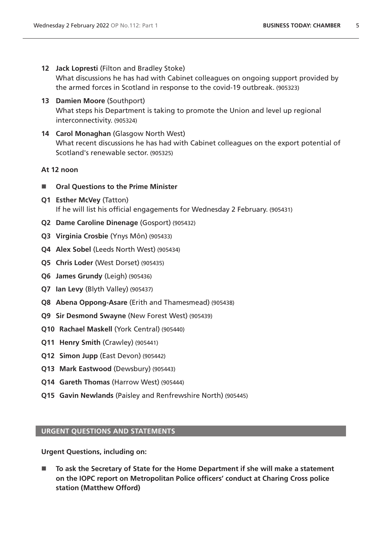- **12 Jack Lopresti** (Filton and Bradley Stoke) What discussions he has had with Cabinet colleagues on ongoing support provided by the armed forces in Scotland in response to the covid-19 outbreak. (905323)
- **13 Damien Moore** (Southport) What steps his Department is taking to promote the Union and level up regional interconnectivity. (905324)
- **14 Carol Monaghan** (Glasgow North West) What recent discussions he has had with Cabinet colleagues on the export potential of Scotland's renewable sector. (905325)

# **At 12 noon**

- <span id="page-4-0"></span>■ Oral Questions to the Prime Minister
- **Q1 Esther McVey** (Tatton) If he will list his official engagements for Wednesday 2 February. (905431)
- **Q2 Dame Caroline Dinenage** (Gosport) (905432)
- **Q3 Virginia Crosbie** (Ynys Môn) (905433)
- **Q4 Alex Sobel** (Leeds North West) (905434)
- **Q5 Chris Loder** (West Dorset) (905435)
- **Q6 James Grundy** (Leigh) (905436)
- **Q7 Ian Levy** (Blyth Valley) (905437)
- **Q8 Abena Oppong-Asare** (Erith and Thamesmead) (905438)
- **Q9 Sir Desmond Swayne** (New Forest West) (905439)
- **Q10 Rachael Maskell** (York Central) (905440)
- **Q11 Henry Smith** (Crawley) (905441)
- **Q12 Simon Jupp** (East Devon) (905442)
- **Q13 Mark Eastwood** (Dewsbury) (905443)
- **Q14 Gareth Thomas** (Harrow West) (905444)
- **Q15 Gavin Newlands** (Paisley and Renfrewshire North) (905445)

## <span id="page-4-1"></span>**URGENT QUESTIONS AND STATEMENTS**

**Urgent Questions, including on:**

 **To ask the Secretary of State for the Home Department if she will make a statement on the IOPC report on Metropolitan Police officers' conduct at Charing Cross police station (Matthew Offord)**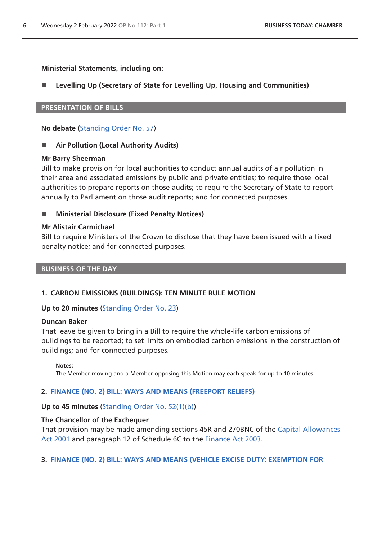## **Ministerial Statements, including on:**

# **Levelling Up (Secretary of State for Levelling Up, Housing and Communities)**

## <span id="page-5-0"></span>**PRESENTATION OF BILLS**

**No debate** ([Standing Order No. 57\)](https://publications.parliament.uk/pa/cm5802/cmstords/so_804_2021/so-orders.html#so-57)

## ■ Air Pollution (Local Authority Audits)

## **Mr Barry Sheerman**

Bill to make provision for local authorities to conduct annual audits of air pollution in their area and associated emissions by public and private entities; to require those local authorities to prepare reports on those audits; to require the Secretary of State to report annually to Parliament on those audit reports; and for connected purposes.

# ■ Ministerial Disclosure (Fixed Penalty Notices)

## **Mr Alistair Carmichael**

Bill to require Ministers of the Crown to disclose that they have been issued with a fixed penalty notice; and for connected purposes.

#### **BUSINESS OF THE DAY**

## <span id="page-5-1"></span>**1. CARBON EMISSIONS (BUILDINGS): TEN MINUTE RULE MOTION**

## **Up to 20 minutes** ([Standing Order No. 23\)](https://publications.parliament.uk/pa/cm5802/cmstords/so_804_2021/so-orders.html#so-23)

## **Duncan Baker**

That leave be given to bring in a Bill to require the whole-life carbon emissions of buildings to be reported; to set limits on embodied carbon emissions in the construction of buildings; and for connected purposes.

#### **Notes:**

<span id="page-5-2"></span>The Member moving and a Member opposing this Motion may each speak for up to 10 minutes.

## **2. [FINANCE \(NO. 2\) BILL: WAYS AND MEANS \(FREEPORT RELIEFS\)](https://publications.parliament.uk/pa/bills/cbill/58-02/0225/210225.pdf)**

## **Up to 45 minutes** ([Standing Order No. 52\(1\)\(b\)](https://publications.parliament.uk/pa/cm5802/cmstords/so_804_2021/so-orders.html#so-52_1_b))

## **The Chancellor of the Exchequer**

That provision may be made amending sections 45R and 270BNC of the [Capital Allowances](https://www.legislation.gov.uk/ukpga/2001/2/contents)  [Act 2001](https://www.legislation.gov.uk/ukpga/2001/2/contents) and paragraph 12 of Schedule 6C to the [Finance Act 2003.](https://www.legislation.gov.uk/ukpga/2003/14/contents)

## <span id="page-5-3"></span>**3. [FINANCE \(NO. 2\) BILL: WAYS AND MEANS \(VEHICLE EXCISE DUTY: EXEMPTION FOR](https://publications.parliament.uk/pa/bills/cbill/58-02/0225/210225.pdf)**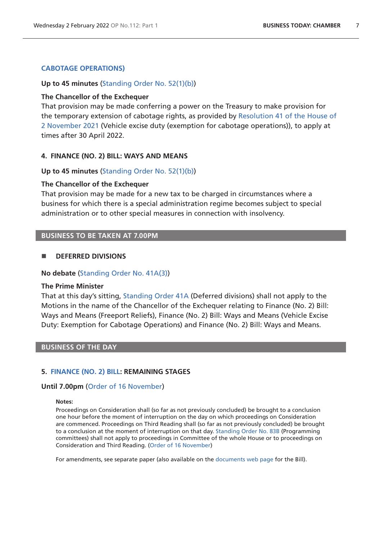# **[CABOTAGE OPERATIONS\)](https://publications.parliament.uk/pa/bills/cbill/58-02/0225/210225.pdf)**

#### **Up to 45 minutes** ([Standing Order No. 52\(1\)\(b\)](https://publications.parliament.uk/pa/cm5802/cmstords/so_804_2021/so-orders.html#so-52_1_b))

#### **The Chancellor of the Exchequer**

That provision may be made conferring a power on the Treasury to make provision for the temporary extension of cabotage rights, as provided by [Resolution 41 of the House of](https://commonsbusiness.parliament.uk/document/51270/pdf)  [2 November 2021](https://commonsbusiness.parliament.uk/document/51270/pdf) (Vehicle excise duty (exemption for cabotage operations)), to apply at times after 30 April 2022.

#### <span id="page-6-0"></span>**4. FINANCE (NO. 2) BILL: WAYS AND MEANS**

#### **Up to 45 minutes** ([Standing Order No. 52\(1\)\(b\)](https://publications.parliament.uk/pa/cm5802/cmstords/so_804_2021/so-orders.html#so-52_1_b))

#### **The Chancellor of the Exchequer**

That provision may be made for a new tax to be charged in circumstances where a business for which there is a special administration regime becomes subject to special administration or to other special measures in connection with insolvency.

# **BUSINESS TO BE TAKEN AT 7.00PM**

#### **DEFERRED DIVISIONS**

#### **No debate** ([Standing Order No. 41A\(3\)](https://publications.parliament.uk/pa/cm5802/cmstords/so_804_2021/so-orders.html#so-41A_3))

#### **The Prime Minister**

That at this day's sitting, [Standing Order 41A](https://publications.parliament.uk/pa/cm5802/cmstords/so_804_2021/so-orders.html#so-41_A) (Deferred divisions) shall not apply to the Motions in the name of the Chancellor of the Exchequer relating to Finance (No. 2) Bill: Ways and Means (Freeport Reliefs), Finance (No. 2) Bill: Ways and Means (Vehicle Excise Duty: Exemption for Cabotage Operations) and Finance (No. 2) Bill: Ways and Means.

## **BUSINESS OF THE DAY**

#### **5. [FINANCE \(NO. 2\) BILL](https://publications.parliament.uk/pa/bills/cbill/58-02/0225/210225.pdf): REMAINING STAGES**

#### **Until 7.00pm** [\(Order of 16 November\)](https://commonsbusiness.parliament.uk/document/51667/pdf)

#### <span id="page-6-1"></span>**Notes:**

Proceedings on Consideration shall (so far as not previously concluded) be brought to a conclusion one hour before the moment of interruption on the day on which proceedings on Consideration are commenced. Proceedings on Third Reading shall (so far as not previously concluded) be brought to a conclusion at the moment of interruption on that day. [Standing Order No. 83B](https://publications.parliament.uk/pa/cm5802/cmstords/so_804_2021/so-orders.html#so-83B) (Programming committees) shall not apply to proceedings in Committee of the whole House or to proceedings on Consideration and Third Reading. ([Order of 16 November](https://commonsbusiness.parliament.uk/document/51667/pdf))

For amendments, see separate paper (also available on the [documents web page](https://bills.parliament.uk/bills/3060/publications) for the Bill).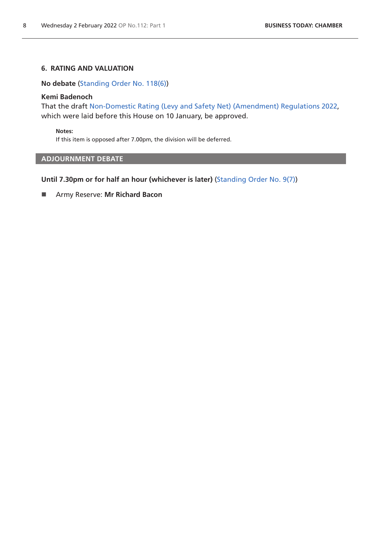# **6. RATING AND VALUATION**

<span id="page-7-0"></span>**No debate** ([Standing Order No. 118\(6\)](https://publications.parliament.uk/pa/cm5802/cmstords/so_804_2021/so-orders.html#so-118_6))

# **Kemi Badenoch**

That the draft [Non-Domestic Rating \(Levy and Safety Net\) \(Amendment\) Regulations 2022,](https://www.legislation.gov.uk/ukdsi/2022/9780348230901/pdfs/ukdsi_9780348230901_en.pdf) which were laid before this House on 10 January, be approved.

**Notes:**

If this item is opposed after 7.00pm, the division will be deferred.

# <span id="page-7-1"></span>**ADJOURNMENT DEBATE**

**Until 7.30pm or for half an hour (whichever is later)** [\(Standing Order No. 9\(7\)](https://publications.parliament.uk/pa/cm5802/cmstords/so_804_2021/so-orders.html#so-9_7))

Army Reserve: **Mr Richard Bacon**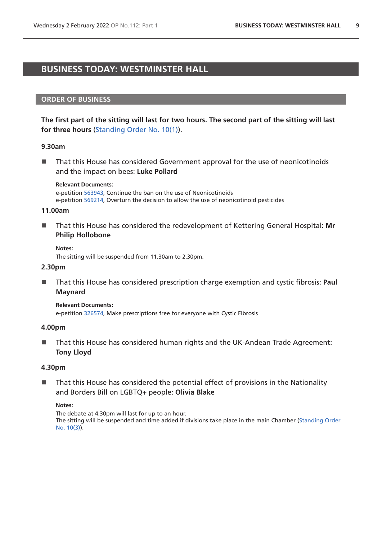# <span id="page-8-0"></span>**BUSINESS TODAY: WESTMINSTER HALL**

## **ORDER OF BUSINESS**

**The first part of the sitting will last for two hours. The second part of the sitting will last for three hours** [\(Standing Order No. 10\(1\)](https://publications.parliament.uk/pa/cm5802/cmstords/so_804_2021/so-orders.html#so-10_1)).

#### **9.30am**

 $\blacksquare$  That this House has considered Government approval for the use of neonicotinoids and the impact on bees: **Luke Pollard**

#### **Relevant Documents:**

e-petition [563943](https://petition.parliament.uk/petitions/563943), Continue the ban on the use of Neonicotinoids e-petition [569214](https://petition.parliament.uk/petitions/569214), Overturn the decision to allow the use of neonicotinoid pesticides

#### **11.00am**

■ That this House has considered the redevelopment of Kettering General Hospital: Mr **Philip Hollobone**

**Notes:** The sitting will be suspended from 11.30am to 2.30pm.

#### **2.30pm**

■ That this House has considered prescription charge exemption and cystic fibrosis: **Paul Maynard**

**Relevant Documents:** e-petition [326574](https://petition.parliament.uk/petitions/326574), Make prescriptions free for everyone with Cystic Fibrosis

## **4.00pm**

■ That this House has considered human rights and the UK-Andean Trade Agreement: **Tony Lloyd**

#### **4.30pm**

■ That this House has considered the potential effect of provisions in the Nationality and Borders Bill on LGBTQ+ people: **Olivia Blake**

#### **Notes:**

The debate at 4.30pm will last for up to an hour. The sitting will be suspended and time added if divisions take place in the main Chamber [\(Standing Order](https://publications.parliament.uk/pa/cm5802/cmstords/so_804_2021/so-orders.html#so-10_3)  [No. 10\(3\)](https://publications.parliament.uk/pa/cm5802/cmstords/so_804_2021/so-orders.html#so-10_3)).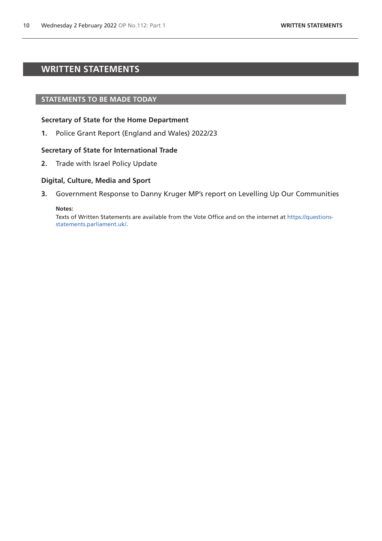# <span id="page-9-0"></span>**WRITTEN STATEMENTS**

#### **STATEMENTS TO BE MADE TODAY**

## **Secretary of State for the Home Department**

**1.** Police Grant Report (England and Wales) 2022/23

#### **Secretary of State for International Trade**

**2.** Trade with Israel Policy Update

# **Digital, Culture, Media and Sport**

**3.** Government Response to Danny Kruger MP's report on Levelling Up Our Communities

#### **Notes:**

Texts of Written Statements are available from the Vote Office and on the internet at [https://questions](https://questions-statements.parliament.uk/)[statements.parliament.uk/](https://questions-statements.parliament.uk/).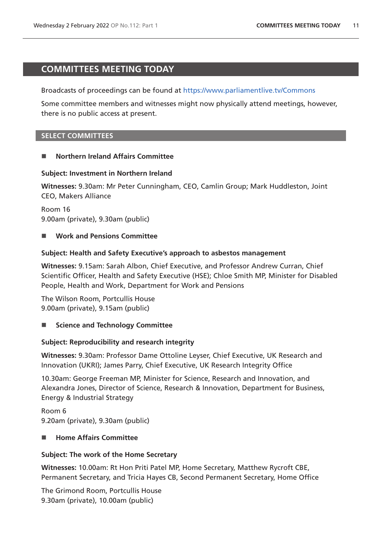# <span id="page-10-0"></span>**COMMITTEES MEETING TODAY**

Broadcasts of proceedings can be found at <https://www.parliamentlive.tv/Commons>

Some committee members and witnesses might now physically attend meetings, however, there is no public access at present.

# **SELECT COMMITTEES**

# **Northern Ireland Affairs Committee**

# **Subject: Investment in Northern Ireland**

**Witnesses:** 9.30am: Mr Peter Cunningham, CEO, Camlin Group; Mark Huddleston, Joint CEO, Makers Alliance

Room 16 9.00am (private), 9.30am (public)

# **Work and Pensions Committee**

# **Subject: Health and Safety Executive's approach to asbestos management**

**Witnesses:** 9.15am: Sarah Albon, Chief Executive, and Professor Andrew Curran, Chief Scientific Officer, Health and Safety Executive (HSE); Chloe Smith MP, Minister for Disabled People, Health and Work, Department for Work and Pensions

The Wilson Room, Portcullis House 9.00am (private), 9.15am (public)

# ■ Science and Technology Committee

# **Subject: Reproducibility and research integrity**

**Witnesses:** 9.30am: Professor Dame Ottoline Leyser, Chief Executive, UK Research and Innovation (UKRI); James Parry, Chief Executive, UK Research Integrity Office

10.30am: George Freeman MP, Minister for Science, Research and Innovation, and Alexandra Jones, Director of Science, Research & Innovation, Department for Business, Energy & Industrial Strategy

Room 6 9.20am (private), 9.30am (public)

# **Home Affairs Committee**

# **Subject: The work of the Home Secretary**

**Witnesses:** 10.00am: Rt Hon Priti Patel MP, Home Secretary, Matthew Rycroft CBE, Permanent Secretary, and Tricia Hayes CB, Second Permanent Secretary, Home Office

The Grimond Room, Portcullis House 9.30am (private), 10.00am (public)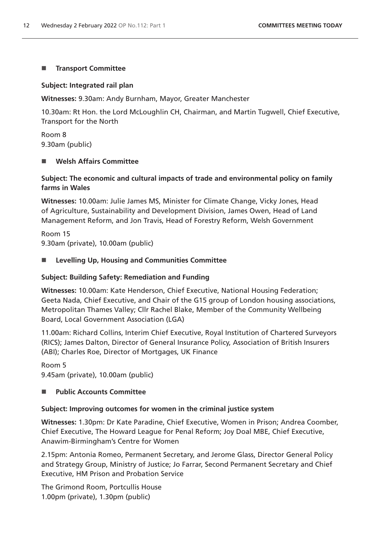# **Transport Committee**

# **Subject: Integrated rail plan**

**Witnesses:** 9.30am: Andy Burnham, Mayor, Greater Manchester

10.30am: Rt Hon. the Lord McLoughlin CH, Chairman, and Martin Tugwell, Chief Executive, Transport for the North

Room 8 9.30am (public)

# **Welsh Affairs Committee**

# **Subject: The economic and cultural impacts of trade and environmental policy on family farms in Wales**

**Witnesses:** 10.00am: Julie James MS, Minister for Climate Change, Vicky Jones, Head of Agriculture, Sustainability and Development Division, James Owen, Head of Land Management Reform, and Jon Travis, Head of Forestry Reform, Welsh Government

Room 15 9.30am (private), 10.00am (public)

# **Levelling Up, Housing and Communities Committee**

# **Subject: Building Safety: Remediation and Funding**

**Witnesses:** 10.00am: Kate Henderson, Chief Executive, National Housing Federation; Geeta Nada, Chief Executive, and Chair of the G15 group of London housing associations, Metropolitan Thames Valley; Cllr Rachel Blake, Member of the Community Wellbeing Board, Local Government Association (LGA)

11.00am: Richard Collins, Interim Chief Executive, Royal Institution of Chartered Surveyors (RICS); James Dalton, Director of General Insurance Policy, Association of British Insurers (ABI); Charles Roe, Director of Mortgages, UK Finance

Room 5 9.45am (private), 10.00am (public)

# **Public Accounts Committee**

# **Subject: Improving outcomes for women in the criminal justice system**

**Witnesses:** 1.30pm: Dr Kate Paradine, Chief Executive, Women in Prison; Andrea Coomber, Chief Executive, The Howard League for Penal Reform; Joy Doal MBE, Chief Executive, Anawim-Birmingham's Centre for Women

2.15pm: Antonia Romeo, Permanent Secretary, and Jerome Glass, Director General Policy and Strategy Group, Ministry of Justice; Jo Farrar, Second Permanent Secretary and Chief Executive, HM Prison and Probation Service

The Grimond Room, Portcullis House 1.00pm (private), 1.30pm (public)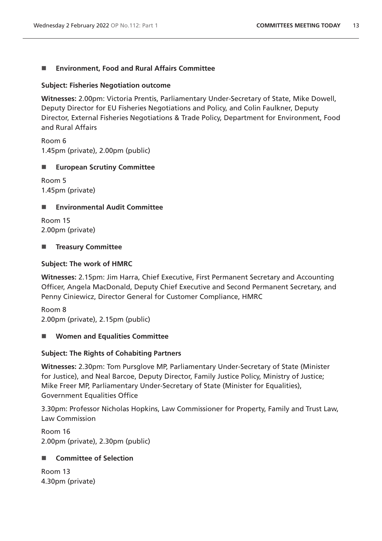# **Environment, Food and Rural Affairs Committee**

# **Subject: Fisheries Negotiation outcome**

**Witnesses:** 2.00pm: Victoria Prentis, Parliamentary Under-Secretary of State, Mike Dowell, Deputy Director for EU Fisheries Negotiations and Policy, and Colin Faulkner, Deputy Director, External Fisheries Negotiations & Trade Policy, Department for Environment, Food and Rural Affairs

Room 6 1.45pm (private), 2.00pm (public)

# **European Scrutiny Committee**

Room 5 1.45pm (private)

# **Environmental Audit Committee**

Room 15 2.00pm (private)

# **Treasury Committee**

# **Subject: The work of HMRC**

**Witnesses:** 2.15pm: Jim Harra, Chief Executive, First Permanent Secretary and Accounting Officer, Angela MacDonald, Deputy Chief Executive and Second Permanent Secretary, and Penny Ciniewicz, Director General for Customer Compliance, HMRC

Room 8 2.00pm (private), 2.15pm (public)

# **Women and Equalities Committee**

# **Subject: The Rights of Cohabiting Partners**

**Witnesses:** 2.30pm: Tom Pursglove MP, Parliamentary Under-Secretary of State (Minister for Justice), and Neal Barcoe, Deputy Director, Family Justice Policy, Ministry of Justice; Mike Freer MP, Parliamentary Under-Secretary of State (Minister for Equalities), Government Equalities Office

3.30pm: Professor Nicholas Hopkins, Law Commissioner for Property, Family and Trust Law, Law Commission

Room 16 2.00pm (private), 2.30pm (public)

# ■ Committee of Selection

Room 13 4.30pm (private)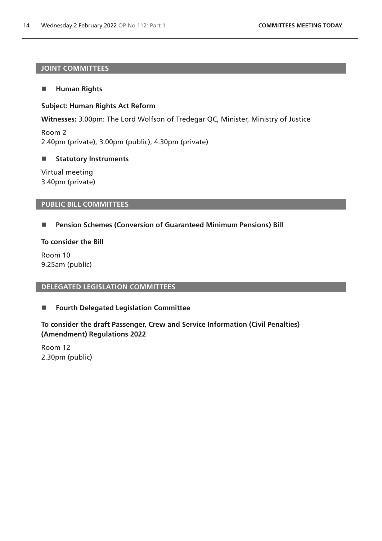# **JOINT COMMITTEES**

# **Human Rights**

# **Subject: Human Rights Act Reform**

**Witnesses:** 3.00pm: The Lord Wolfson of Tredegar QC, Minister, Ministry of Justice

Room 2 2.40pm (private), 3.00pm (public), 4.30pm (private)

# **E** Statutory Instruments

Virtual meeting 3.40pm (private)

# **PUBLIC BILL COMMITTEES**

# **Pension Schemes (Conversion of Guaranteed Minimum Pensions) Bill**

**To consider the Bill**

Room 10 9.25am (public)

## **DELEGATED LEGISLATION COMMITTEES**

# **Fourth Delegated Legislation Committee**

# **To consider the draft Passenger, Crew and Service Information (Civil Penalties) (Amendment) Regulations 2022**

Room 12 2.30pm (public)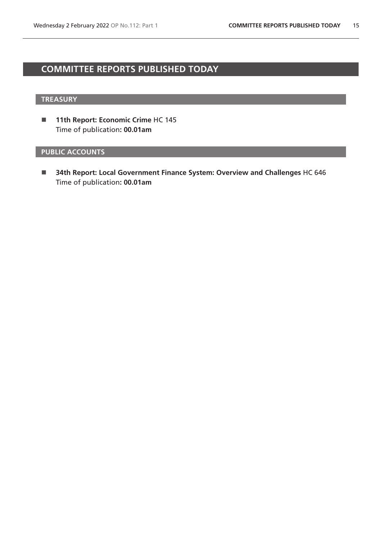# <span id="page-14-0"></span>**COMMITTEE REPORTS PUBLISHED TODAY**

# **TREASURY**

**11th Report: Economic Crime HC 145** Time of publication**: 00.01am**

# **PUBLIC ACCOUNTS**

 **34th Report: Local Government Finance System: Overview and Challenges** HC 646 Time of publication**: 00.01am**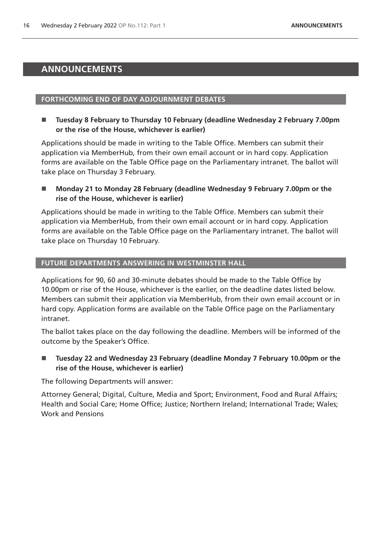# <span id="page-15-0"></span>**ANNOUNCEMENTS**

#### **FORTHCOMING END OF DAY ADJOURNMENT DEBATES**

 **Tuesday 8 February to Thursday 10 February (deadline Wednesday 2 February 7.00pm or the rise of the House, whichever is earlier)**

Applications should be made in writing to the Table Office. Members can submit their application via MemberHub, from their own email account or in hard copy. Application forms are available on the Table Office page on the Parliamentary intranet. The ballot will take place on Thursday 3 February.

 **Monday 21 to Monday 28 February (deadline Wednesday 9 February 7.00pm or the rise of the House, whichever is earlier)**

Applications should be made in writing to the Table Office. Members can submit their application via MemberHub, from their own email account or in hard copy. Application forms are available on the Table Office page on the Parliamentary intranet. The ballot will take place on Thursday 10 February.

## **FUTURE DEPARTMENTS ANSWERING IN WESTMINSTER HALL**

Applications for 90, 60 and 30-minute debates should be made to the Table Office by 10.00pm or rise of the House, whichever is the earlier, on the deadline dates listed below. Members can submit their application via MemberHub, from their own email account or in hard copy. Application forms are available on the Table Office page on the Parliamentary intranet.

The ballot takes place on the day following the deadline. Members will be informed of the outcome by the Speaker's Office.

■ Tuesday 22 and Wednesday 23 February (deadline Monday 7 February 10.00pm or the **rise of the House, whichever is earlier)**

The following Departments will answer:

Attorney General; Digital, Culture, Media and Sport; Environment, Food and Rural Affairs; Health and Social Care; Home Office; Justice; Northern Ireland; International Trade; Wales; Work and Pensions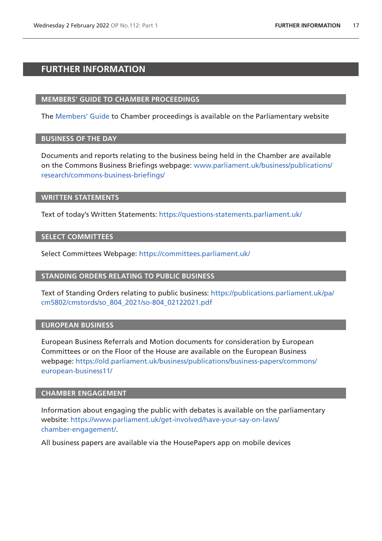# <span id="page-16-0"></span>**FURTHER INFORMATION**

# **MEMBERS' GUIDE TO CHAMBER PROCEEDINGS**

The [Members' Guide](https://guidetoprocedure.parliament.uk/mps-guide-to-procedure) to Chamber proceedings is available on the Parliamentary website

## **BUSINESS OF THE DAY**

Documents and reports relating to the business being held in the Chamber are available on the Commons Business Briefings webpage: [www.parliament.uk/business/publications/](http://www.parliament.uk/business/publications/research/commons-business-briefings/) [research/commons-business-briefings/](http://www.parliament.uk/business/publications/research/commons-business-briefings/)

## **WRITTEN STATEMENTS**

Text of today's Written Statements:<https://questions-statements.parliament.uk/>

# **SELECT COMMITTEES**

Select Committees Webpage: <https://committees.parliament.uk/>

# **STANDING ORDERS RELATING TO PUBLIC BUSINESS**

Text of Standing Orders relating to public business: [https://publications.parliament.uk/pa/](https://publications.parliament.uk/pa/cm5802/cmstords/so_804_2021/so-804_02122021.pdf) [cm5802/cmstords/so\\_804\\_2021/so-804\\_02122021.pdf](https://publications.parliament.uk/pa/cm5802/cmstords/so_804_2021/so-804_02122021.pdf)

# **EUROPEAN BUSINESS**

European Business Referrals and Motion documents for consideration by European Committees or on the Floor of the House are available on the European Business webpage: [https://old.parliament.uk/business/publications/business-papers/commons/](https://old.parliament.uk/business/publications/business-papers/commons/european-business11/) [european-business11/](https://old.parliament.uk/business/publications/business-papers/commons/european-business11/)

## **CHAMBER ENGAGEMENT**

Information about engaging the public with debates is available on the parliamentary website: [https://www.parliament.uk/get-involved/have-your-say-on-laws/](https://www.parliament.uk/get-involved/have-your-say-on-laws/chamber-engagement/) [chamber-engagement/.](https://www.parliament.uk/get-involved/have-your-say-on-laws/chamber-engagement/)

All business papers are available via the HousePapers app on mobile devices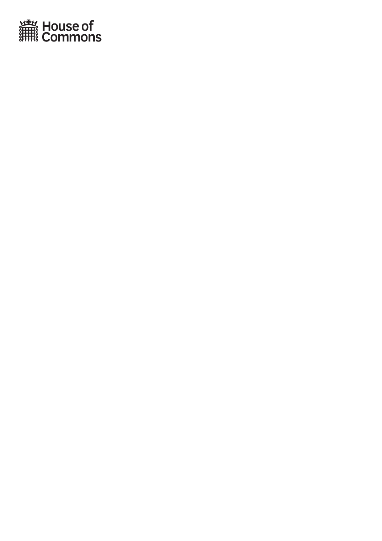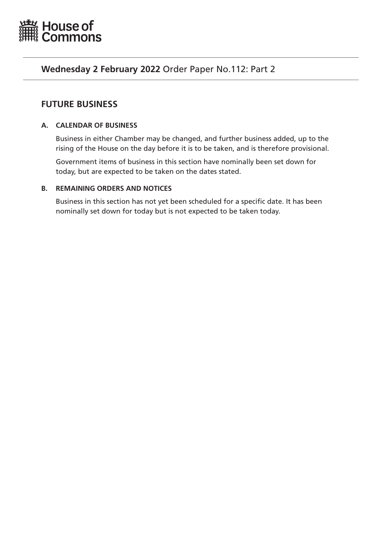<span id="page-18-0"></span>

# **Wednesday 2 February 2022** Order Paper No.112: Part 2

# **FUTURE BUSINESS**

# **A. CALENDAR OF BUSINESS**

Business in either Chamber may be changed, and further business added, up to the rising of the House on the day before it is to be taken, and is therefore provisional.

Government items of business in this section have nominally been set down for today, but are expected to be taken on the dates stated.

# **B. REMAINING ORDERS AND NOTICES**

Business in this section has not yet been scheduled for a specific date. It has been nominally set down for today but is not expected to be taken today.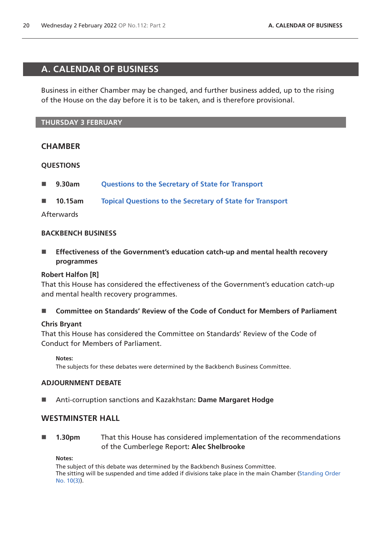# <span id="page-19-0"></span>**A. CALENDAR OF BUSINESS**

Business in either Chamber may be changed, and further business added, up to the rising of the House on the day before it is to be taken, and is therefore provisional.

## **THURSDAY 3 FEBRUARY**

# **CHAMBER**

## **QUESTIONS**

- **9.30am [Questions to the Secretary of State for Transport](https://commonsbusiness.parliament.uk/document/53896/html#anchor-1)**
- **10.15am [Topical Questions to the Secretary of State for Transport](https://commonsbusiness.parliament.uk/document/53896/html#anchor-2)**

## Afterwards

#### **BACKBENCH BUSINESS**

■ Effectiveness of the Government's education catch-up and mental health recovery **programmes**

## **Robert Halfon [R]**

That this House has considered the effectiveness of the Government's education catch-up and mental health recovery programmes.

**Committee on Standards' Review of the Code of Conduct for Members of Parliament**

## **Chris Bryant**

That this House has considered the Committee on Standards' Review of the Code of Conduct for Members of Parliament.

**Notes:**

The subjects for these debates were determined by the Backbench Business Committee.

## **ADJOURNMENT DEBATE**

Anti-corruption sanctions and Kazakhstan**: Dame Margaret Hodge**

# **WESTMINSTER HALL**

 **1.30pm** That this House has considered implementation of the recommendations of the Cumberlege Report**: Alec Shelbrooke**

**Notes:**

The subject of this debate was determined by the Backbench Business Committee. The sitting will be suspended and time added if divisions take place in the main Chamber [\(Standing Order](https://publications.parliament.uk/pa/cm5802/cmstords/so_804_2021/so-orders.html#so-10_3)  [No. 10\(3\)](https://publications.parliament.uk/pa/cm5802/cmstords/so_804_2021/so-orders.html#so-10_3)).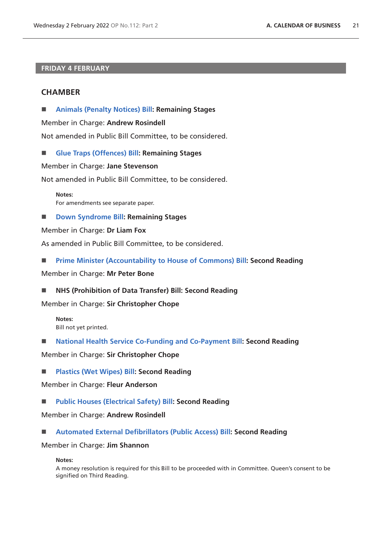# **FRIDAY 4 FEBRUARY**

# **CHAMBER**

**[Animals \(Penalty Notices\) Bill](https://publications.parliament.uk/pa/bills/cbill/58-02/0032/210032.pdf): Remaining Stages**

Member in Charge: **Andrew Rosindell**

Not amended in Public Bill Committee, to be considered.

**[Glue Traps \(Offences\) Bill:](https://publications.parliament.uk/pa/bills/cbill/58-02/0027/210027.pdf) Remaining Stages**

Member in Charge: **Jane Stevenson**

Not amended in Public Bill Committee, to be considered.

**Notes:** For amendments see separate paper.

■ **[Down Syndrome Bill:](https://publications.parliament.uk/pa/bills/cbill/58-02/0240/210240.pdf) Remaining Stages** 

Member in Charge: **Dr Liam Fox**

As amended in Public Bill Committee, to be considered.

**[Prime Minister \(Accountability to House of Commons\) Bill](https://publications.parliament.uk/pa/bills/cbill/58-02/0075/210075.pdf): Second Reading**

Member in Charge: **Mr Peter Bone**

**NHS (Prohibition of Data Transfer) Bill: Second Reading**

Member in Charge: **Sir Christopher Chope**

**Notes:** Bill not yet printed.

**[National Health Service Co-Funding and Co-Payment Bill](https://publications.parliament.uk/pa/bills/cbill/58-02/0105/220131.pdf): Second Reading**

Member in Charge: **Sir Christopher Chope**

**[Plastics \(Wet Wipes\) Bill:](https://publications.parliament.uk/pa/bills/cbill/58-02/0182/210182.pdf) Second Reading**

Member in Charge: **Fleur Anderson**

**[Public Houses \(Electrical Safety\) Bill](https://publications.parliament.uk/pa/bills/cbill/58-02/0181/210181.pdf): Second Reading**

Member in Charge: **Andrew Rosindell**

**[Automated External Defibrillators \(Public Access\) Bill](https://publications.parliament.uk/pa/bills/cbill/58-01/0222/200222.pdf): Second Reading**

Member in Charge: **Jim Shannon**

**Notes:**

A money resolution is required for this Bill to be proceeded with in Committee. Queen's consent to be signified on Third Reading.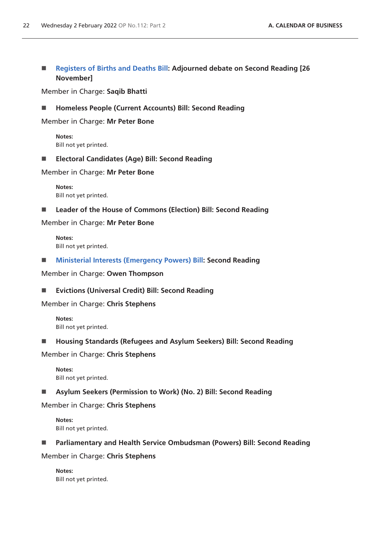# ■ **[Registers of Births and Deaths Bill:](https://publications.parliament.uk/pa/bills/cbill/58-02/0034/210034.pdf) Adjourned debate on Second Reading [26 November]**

Member in Charge: **Saqib Bhatti**

**Homeless People (Current Accounts) Bill: Second Reading**

Member in Charge: **Mr Peter Bone**

**Notes:** Bill not yet printed.

**Electoral Candidates (Age) Bill: Second Reading**

Member in Charge: **Mr Peter Bone**

**Notes:** Bill not yet printed.

■ Leader of the House of Commons (Election) Bill: Second Reading

Member in Charge: **Mr Peter Bone**

**Notes:** Bill not yet printed.

**[Ministerial Interests \(Emergency Powers\) Bill:](https://publications.parliament.uk/pa/bills/cbill/58-02/0230/210230.pdf) Second Reading**

Member in Charge: **Owen Thompson**

#### **Evictions (Universal Credit) Bill: Second Reading**

Member in Charge: **Chris Stephens**

**Notes:** Bill not yet printed.

**Housing Standards (Refugees and Asylum Seekers) Bill: Second Reading**

Member in Charge: **Chris Stephens**

**Notes:** Bill not yet printed.

**Asylum Seekers (Permission to Work) (No. 2) Bill: Second Reading**

Member in Charge: **Chris Stephens**

**Notes:** Bill not yet printed.

#### **Parliamentary and Health Service Ombudsman (Powers) Bill: Second Reading**

Member in Charge: **Chris Stephens**

**Notes:** Bill not yet printed.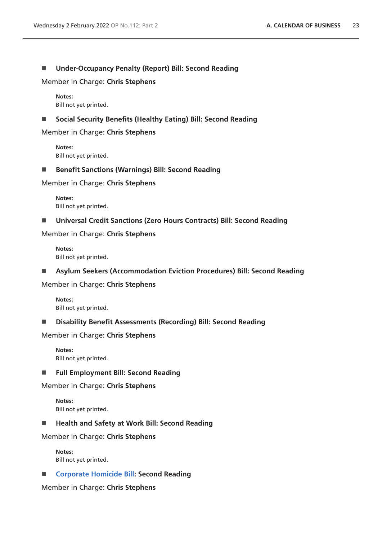# **Under-Occupancy Penalty (Report) Bill: Second Reading**

Member in Charge: **Chris Stephens**

**Notes:** Bill not yet printed.

**Social Security Benefits (Healthy Eating) Bill: Second Reading**

Member in Charge: **Chris Stephens**

**Notes:** Bill not yet printed.

■ Benefit Sanctions (Warnings) Bill: Second Reading

Member in Charge: **Chris Stephens**

**Notes:** Bill not yet printed.

**Universal Credit Sanctions (Zero Hours Contracts) Bill: Second Reading**

Member in Charge: **Chris Stephens**

**Notes:** Bill not yet printed.

**Asylum Seekers (Accommodation Eviction Procedures) Bill: Second Reading**

Member in Charge: **Chris Stephens**

**Notes:** Bill not yet printed.

**Disability Benefit Assessments (Recording) Bill: Second Reading**

Member in Charge: **Chris Stephens**

**Notes:** Bill not yet printed.

**Full Employment Bill: Second Reading**

Member in Charge: **Chris Stephens**

**Notes:** Bill not yet printed.

■ Health and Safety at Work Bill: Second Reading

Member in Charge: **Chris Stephens**

**Notes:** Bill not yet printed.

■ **[Corporate Homicide Bill](https://publications.parliament.uk/pa/bills/cbill/58-02/0046/210046.pdf): Second Reading** 

Member in Charge: **Chris Stephens**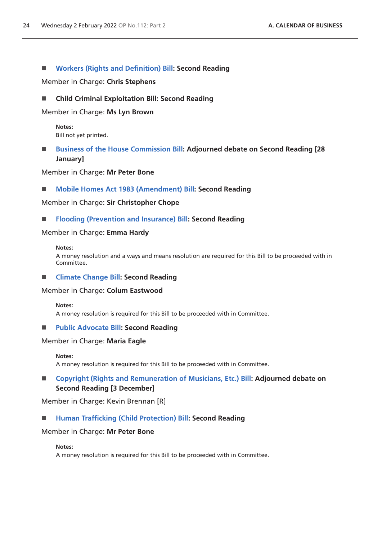## **[Workers \(Rights and Definition\) Bill:](https://publications.parliament.uk/pa/bills/cbill/58-02/0110/210110.pdf) Second Reading**

Member in Charge: **Chris Stephens**

## **Child Criminal Exploitation Bill: Second Reading**

Member in Charge: **Ms Lyn Brown**

**Notes:** Bill not yet printed.

# **[Business of the House Commission Bill](https://publications.parliament.uk/pa/bills/cbill/58-02/0078/210078.pdf): Adjourned debate on Second Reading [28 January]**

Member in Charge: **Mr Peter Bone**

#### ■ **[Mobile Homes Act 1983 \(Amendment\) Bill:](https://publications.parliament.uk/pa/bills/cbill/58-02/0102/210102.pdf) Second Reading**

Member in Charge: **Sir Christopher Chope**

#### **[Flooding \(Prevention and Insurance\) Bill:](https://publications.parliament.uk/pa/bills/cbill/58-02/0102/210102.pdf) Second Reading**

#### Member in Charge: **Emma Hardy**

#### **Notes:**

A money resolution and a ways and means resolution are required for this Bill to be proceeded with in Committee.

## **[Climate Change Bill](https://publications.parliament.uk/pa/bills/cbill/58-02/0021/210021.pdf): Second Reading**

#### Member in Charge: **Colum Eastwood**

**Notes:**

A money resolution is required for this Bill to be proceeded with in Committee.

#### **[Public Advocate Bill](https://publications.parliament.uk/pa/bills/cbill/58-02/0047/21047.pdf): Second Reading**

## Member in Charge: **Maria Eagle**

**Notes:**

A money resolution is required for this Bill to be proceeded with in Committee.

# ■ [Copyright \(Rights and Remuneration of Musicians, Etc.\) Bill](https://publications.parliament.uk/pa/bills/cbill/58-02/0019/210019.pdf): Adjourned debate on **Second Reading [3 December]**

Member in Charge: Kevin Brennan [R]

# **[Human Trafficking \(Child Protection\) Bill](https://publications.parliament.uk/pa/bills/cbill/58-02/0071/220071.pdf): Second Reading**

## Member in Charge: **Mr Peter Bone**

#### **Notes:**

A money resolution is required for this Bill to be proceeded with in Committee.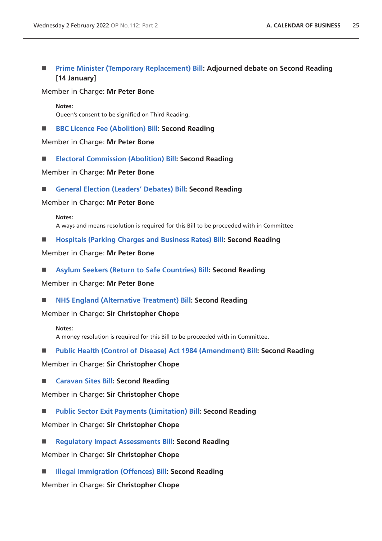# **[Prime Minister \(Temporary Replacement\) Bill](https://publications.parliament.uk/pa/bills/cbill/58-02/0042/210042.pdf): Adjourned debate on Second Reading [14 January]**

#### Member in Charge: **Mr Peter Bone**

**Notes:** Queen's consent to be signified on Third Reading.

■ **[BBC Licence Fee \(Abolition\) Bill:](https://publications.parliament.uk/pa/bills/cbill/58-02/0080/210080.pdf) Second Reading** 

Member in Charge: **Mr Peter Bone**

**[Electoral Commission \(Abolition\) Bill:](https://publications.parliament.uk/pa/bills/cbill/58-02/0069/210069.pdf) Second Reading**

Member in Charge: **Mr Peter Bone**

**[General Election \(Leaders' Debates\) Bill:](https://publications.parliament.uk/pa/bills/cbill/58-02/0072/210072.pdf) Second Reading**

Member in Charge: **Mr Peter Bone**

#### **Notes:**

A ways and means resolution is required for this Bill to be proceeded with in Committee

**[Hospitals \(Parking Charges and Business Rates\) Bill:](https://publications.parliament.uk/pa/bills/cbill/58-02/0070/210070.pdf) Second Reading**

Member in Charge: **Mr Peter Bone**

**[Asylum Seekers \(Return to Safe Countries\) Bill:](https://publications.parliament.uk/pa/bills/cbill/58-02/0079/210079.pdf) Second Reading**

Member in Charge: **Mr Peter Bone**

■ **[NHS England \(Alternative Treatment\) Bill:](https://publications.parliament.uk/pa/bills/cbill/58-02/0094/210094.pdf) Second Reading** 

Member in Charge: **Sir Christopher Chope**

#### **Notes:**

A money resolution is required for this Bill to be proceeded with in Committee.

**[Public Health \(Control of Disease\) Act 1984 \(Amendment\) Bill:](https://publications.parliament.uk/pa/bills/cbill/58-02/0092/210092.pdf) Second Reading**

Member in Charge: **Sir Christopher Chope**

**[Caravan Sites Bill:](https://publications.parliament.uk/pa/bills/cbill/58-02/0106/210106.pdf) Second Reading**

Member in Charge: **Sir Christopher Chope**

**[Public Sector Exit Payments \(Limitation\) Bill:](https://publications.parliament.uk/pa/bills/cbill/58-02/0107/210107.pdf) Second Reading**

Member in Charge: **Sir Christopher Chope**

 **[Regulatory Impact Assessments Bill](https://publications.parliament.uk/pa/bills/cbill/58-02/0099/210099.pdf): Second Reading** Member in Charge: **Sir Christopher Chope**

■ **[Illegal Immigration \(Offences\) Bill:](https://publications.parliament.uk/pa/bills/cbill/58-02/0104/210104.pdf) Second Reading** 

Member in Charge: **Sir Christopher Chope**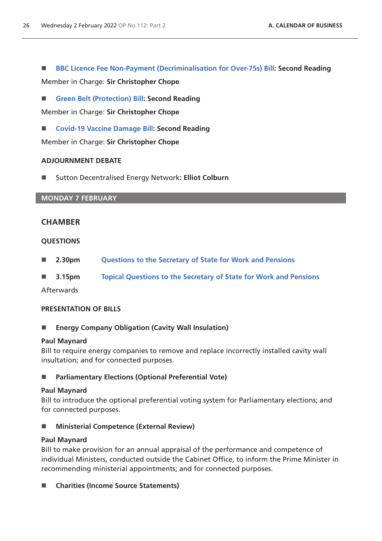**[BBC Licence Fee Non-Payment \(Decriminalisation for Over-75s\) Bill](https://publications.parliament.uk/pa/bills/cbill/58-02/0098/210098.pdf): Second Reading**

Member in Charge: **Sir Christopher Chope**

**[Green Belt \(Protection\) Bill:](https://publications.parliament.uk/pa/bills/cbill/58-02/0108/210108.pdf) Second Reading**

Member in Charge: **Sir Christopher Chope**

■ **[Covid-19 Vaccine Damage Bill:](https://publications.parliament.uk/pa/bills/cbill/58-02/0044/210044.pdf) Second Reading** 

Member in Charge: **Sir Christopher Chope**

## **ADJOURNMENT DEBATE**

■ Sutton Decentralised Energy Network: Elliot Colburn

# **MONDAY 7 FEBRUARY**

# **CHAMBER**

## **QUESTIONS**

- **2.30pm [Questions to the Secretary of State for Work and Pensions](https://commonsbusiness.parliament.uk/document/53896/html#anchor-4)**
- **3.15pm [Topical Questions to the Secretary of State for Work and Pensions](https://commonsbusiness.parliament.uk/document/53896/html#anchor-5)**

## Afterwards

## **PRESENTATION OF BILLS**

**Energy Company Obligation (Cavity Wall Insulation)**

## **Paul Maynard**

Bill to require energy companies to remove and replace incorrectly installed cavity wall insultation; and for connected purposes.

## ■ **Parliamentary Elections (Optional Preferential Vote)**

## **Paul Maynard**

Bill to introduce the optional preferential voting system for Parliamentary elections; and for connected purposes.

■ Ministerial Competence (External Review)

## **Paul Maynard**

Bill to make provision for an annual appraisal of the performance and competence of individual Ministers, conducted outside the Cabinet Office, to inform the Prime Minister in recommending ministerial appointments; and for connected purposes.

**Charities (Income Source Statements)**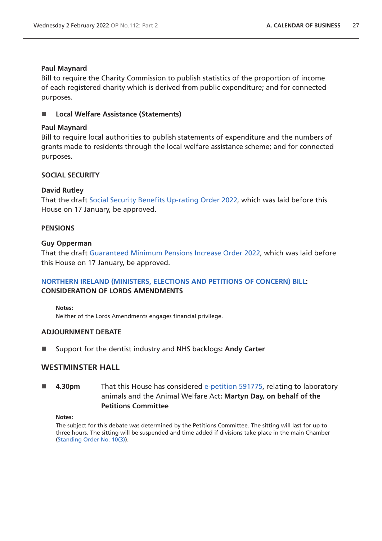## **Paul Maynard**

Bill to require the Charity Commission to publish statistics of the proportion of income of each registered charity which is derived from public expenditure; and for connected purposes.

**Local Welfare Assistance (Statements)**

# **Paul Maynard**

Bill to require local authorities to publish statements of expenditure and the numbers of grants made to residents through the local welfare assistance scheme; and for connected purposes.

# **SOCIAL SECURITY**

# **David Rutley**

That the draft [Social Security Benefits Up-rating Order 2022,](https://www.legislation.gov.uk/ukdsi/2022/9780348231151/pdfs/ukdsi_9780348231151_en.pdf) which was laid before this House on 17 January, be approved.

# **PENSIONS**

## **Guy Opperman**

That the draft [Guaranteed Minimum Pensions Increase Order 2022](https://www.legislation.gov.uk/ukdsi/2022/9780348231076/pdfs/ukdsi_9780348231076_en.pdf), which was laid before this House on 17 January, be approved.

# **[NORTHERN IRELAND \(MINISTERS, ELECTIONS AND PETITIONS OF CONCERN\) BILL:](https://publications.parliament.uk/pa/bills/cbill/58-02/0236/210236.pdf) CONSIDERATION OF LORDS AMENDMENTS**

**Notes:**

Neither of the Lords Amendments engages financial privilege.

## **ADJOURNMENT DEBATE**

Support for the dentist industry and NHS backlogs**: Andy Carter**

# **WESTMINSTER HALL**

# **4.30pm** That this House has considered [e-petition 591775](https://petition.parliament.uk/petitions/591775), relating to laboratory animals and the Animal Welfare Act**: Martyn Day, on behalf of the Petitions Committee**

#### **Notes:**

The subject for this debate was determined by the Petitions Committee. The sitting will last for up to three hours. The sitting will be suspended and time added if divisions take place in the main Chamber [\(Standing Order No. 10\(3\)](https://publications.parliament.uk/pa/cm5802/cmstords/so_804_2021/so-orders.html#so-10_3)).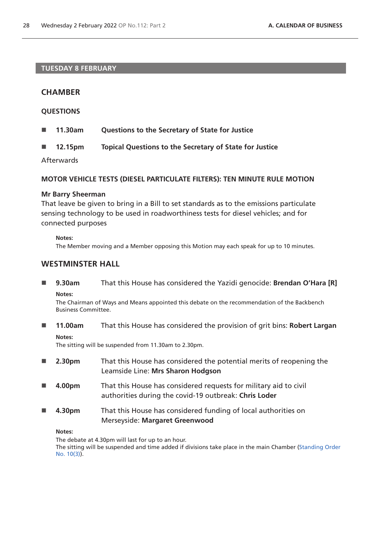# **TUESDAY 8 FEBRUARY**

# **CHAMBER**

## **QUESTIONS**

- **11.30am Questions to the Secretary of State for Justice**
- **12.15pm Topical Questions to the Secretary of State for Justice**

Afterwards

#### **MOTOR VEHICLE TESTS (DIESEL PARTICULATE FILTERS): TEN MINUTE RULE MOTION**

#### **Mr Barry Sheerman**

That leave be given to bring in a Bill to set standards as to the emissions particulate sensing technology to be used in roadworthiness tests for diesel vehicles; and for connected purposes

#### **Notes:**

The Member moving and a Member opposing this Motion may each speak for up to 10 minutes.

# **WESTMINSTER HALL**

 **9.30am** That this House has considered the Yazidi genocide: **Brendan O'Hara [R] Notes:**

The Chairman of Ways and Means appointed this debate on the recommendation of the Backbench Business Committee.

 **11.00am** That this House has considered the provision of grit bins: **Robert Largan Notes:**

The sitting will be suspended from 11.30am to 2.30pm.

- **2.30pm** That this House has considered the potential merits of reopening the Leamside Line: **Mrs Sharon Hodgson**
- **4.00pm** That this House has considered requests for military aid to civil authorities during the covid-19 outbreak: **Chris Loder**
- **4.30pm** That this House has considered funding of local authorities on Merseyside: **Margaret Greenwood**

#### **Notes:**

The debate at 4.30pm will last for up to an hour.

The sitting will be suspended and time added if divisions take place in the main Chamber [\(Standing Order](https://publications.parliament.uk/pa/cm5802/cmstords/so_804_2021/so-orders.html#so-10_3)  [No. 10\(3\)](https://publications.parliament.uk/pa/cm5802/cmstords/so_804_2021/so-orders.html#so-10_3)).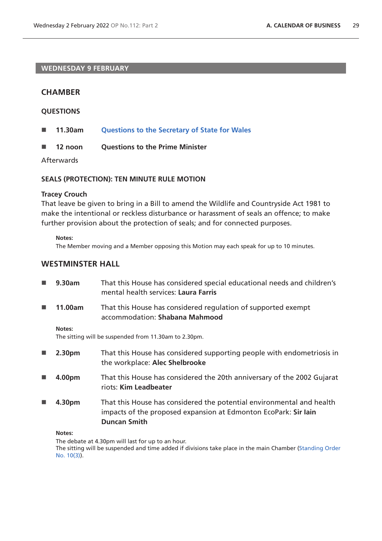## **WEDNESDAY 9 FEBRUARY**

# **CHAMBER**

## **QUESTIONS**

- **11.30am [Questions to the Secretary of State for Wales](https://commonsbusiness.parliament.uk/document/53896/html#anchor-7)**
- **12 noon Questions to the Prime Minister**

Afterwards

## **SEALS (PROTECTION): TEN MINUTE RULE MOTION**

## **Tracey Crouch**

That leave be given to bring in a Bill to amend the Wildlife and Countryside Act 1981 to make the intentional or reckless disturbance or harassment of seals an offence; to make further provision about the protection of seals; and for connected purposes.

**Notes:**

The Member moving and a Member opposing this Motion may each speak for up to 10 minutes.

# **WESTMINSTER HALL**

| <b>In the </b>             | 9.30am  | That this House has considered special educational needs and children's<br>mental health services: Laura Farris                                                 |
|----------------------------|---------|-----------------------------------------------------------------------------------------------------------------------------------------------------------------|
| <b>In the Second State</b> | 11.00am | That this House has considered regulation of supported exempt<br>accommodation: Shabana Mahmood                                                                 |
| Notes:                     |         | The sitting will be suspended from 11.30am to 2.30pm.                                                                                                           |
| $\mathbb{R}^n$             | 2.30pm  | That this House has considered supporting people with endometriosis in<br>the workplace: Alec Shelbrooke                                                        |
| <b>In the </b>             | 4.00pm  | That this House has considered the 20th anniversary of the 2002 Gujarat<br>riots: Kim Leadbeater                                                                |
| <b>In the </b>             | 4.30pm  | That this House has considered the potential environmental and health<br>impacts of the proposed expansion at Edmonton EcoPark: Sir lain<br><b>Duncan Smith</b> |

**Notes:**

The debate at 4.30pm will last for up to an hour.

The sitting will be suspended and time added if divisions take place in the main Chamber [\(Standing Order](https://publications.parliament.uk/pa/cm5802/cmstords/so_804_2021/so-orders.html#so-10_3)  [No. 10\(3\)](https://publications.parliament.uk/pa/cm5802/cmstords/so_804_2021/so-orders.html#so-10_3)).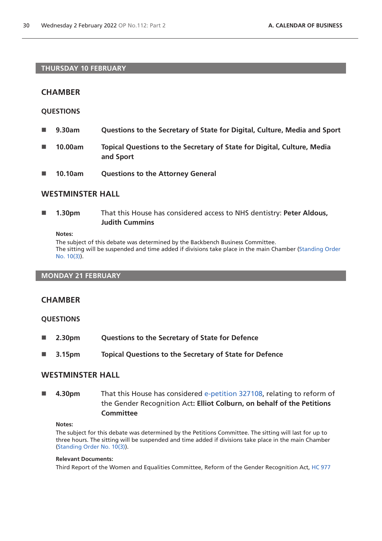#### **THURSDAY 10 FEBRUARY**

# **CHAMBER**

## **QUESTIONS**

- **9.30am Questions to the Secretary of State for Digital, Culture, Media and Sport**
- **10.00am Topical Questions to the Secretary of State for Digital, Culture, Media and Sport**
- **10.10am Questions to the Attorney General**

# **WESTMINSTER HALL**

 **1.30pm** That this House has considered access to NHS dentistry: **Peter Aldous, Judith Cummins**

**Notes:**

The subject of this debate was determined by the Backbench Business Committee. The sitting will be suspended and time added if divisions take place in the main Chamber [\(Standing Order](https://publications.parliament.uk/pa/cm5802/cmstords/so_804_2021/so-orders.html#so-10_3)  [No. 10\(3\)](https://publications.parliament.uk/pa/cm5802/cmstords/so_804_2021/so-orders.html#so-10_3)).

#### **MONDAY 21 FEBRUARY**

## **CHAMBER**

## **QUESTIONS**

- **2.30pm Questions to the Secretary of State for Defence**
- **3.15pm Topical Questions to the Secretary of State for Defence**

## **WESTMINSTER HALL**

 **4.30pm** That this House has considered [e-petition 327108](https://petition.parliament.uk/petitions/327108), relating to reform of the Gender Recognition Act**: Elliot Colburn, on behalf of the Petitions Committee**

#### **Notes:**

The subject for this debate was determined by the Petitions Committee. The sitting will last for up to three hours. The sitting will be suspended and time added if divisions take place in the main Chamber [\(Standing Order No. 10\(3\)](https://publications.parliament.uk/pa/cm5802/cmstords/so_804_2021/so-orders.html#so-10_3)).

#### **Relevant Documents:**

Third Report of the Women and Equalities Committee, Reform of the Gender Recognition Act, [HC 977](https://committees.parliament.uk/publications/8329/documents/84728/default/)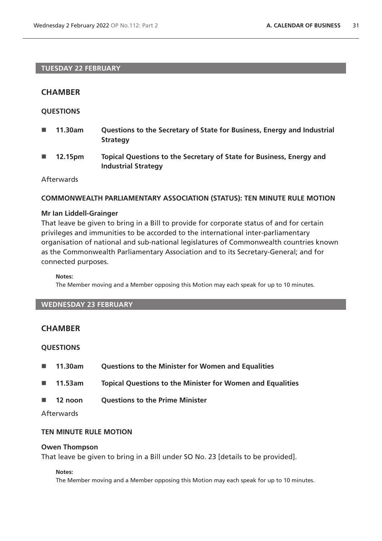# **TUESDAY 22 FEBRUARY**

# **CHAMBER**

## **QUESTIONS**

- **11.30am Questions to the Secretary of State for Business, Energy and Industrial Strategy**
- **12.15pm Topical Questions to the Secretary of State for Business, Energy and Industrial Strategy**

# Afterwards

#### **COMMONWEALTH PARLIAMENTARY ASSOCIATION (STATUS): TEN MINUTE RULE MOTION**

#### **Mr Ian Liddell-Grainger**

That leave be given to bring in a Bill to provide for corporate status of and for certain privileges and immunities to be accorded to the international inter-parliamentary organisation of national and sub-national legislatures of Commonwealth countries known as the Commonwealth Parliamentary Association and to its Secretary-General; and for connected purposes.

#### **Notes:**

The Member moving and a Member opposing this Motion may each speak for up to 10 minutes.

# **WEDNESDAY 23 FEBRUARY**

# **CHAMBER**

## **QUESTIONS**

- **11.30am Questions to the Minister for Women and Equalities**
- **11.53am Topical Questions to the Minister for Women and Equalities**
- **12 noon Questions to the Prime Minister**

## Afterwards

# **TEN MINUTE RULE MOTION**

#### **Owen Thompson**

That leave be given to bring in a Bill under SO No. 23 [details to be provided].

#### **Notes:**

The Member moving and a Member opposing this Motion may each speak for up to 10 minutes.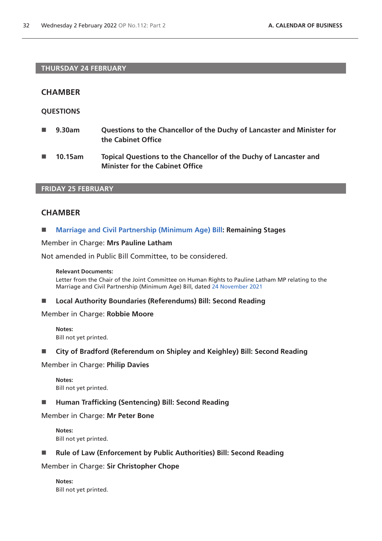## **THURSDAY 24 FEBRUARY**

# **CHAMBER**

## **QUESTIONS**

- **9.30am Questions to the Chancellor of the Duchy of Lancaster and Minister for the Cabinet Office**
- **10.15am Topical Questions to the Chancellor of the Duchy of Lancaster and Minister for the Cabinet Office**

# **FRIDAY 25 FEBRUARY**

# **CHAMBER**

#### **[Marriage and Civil Partnership \(Minimum Age\) Bill:](https://publications.parliament.uk/pa/bills/cbill/58-02/0018/210018.pdf) Remaining Stages**

#### Member in Charge: **Mrs Pauline Latham**

Not amended in Public Bill Committee, to be considered.

#### **Relevant Documents:**

Letter from the Chair of the Joint Committee on Human Rights to Pauline Latham MP relating to the Marriage and Civil Partnership (Minimum Age) Bill, dated [24 November 2021](https://committees.parliament.uk/publications/8079/documents/83043/default/)

#### **Local Authority Boundaries (Referendums) Bill: Second Reading**

# Member in Charge: **Robbie Moore**

**Notes:** Bill not yet printed.

#### **City of Bradford (Referendum on Shipley and Keighley) Bill: Second Reading**

## Member in Charge: **Philip Davies**

**Notes:** Bill not yet printed.

#### **Human Trafficking (Sentencing) Bill: Second Reading**

#### Member in Charge: **Mr Peter Bone**

**Notes:** Bill not yet printed.

#### ■ Rule of Law (Enforcement by Public Authorities) Bill: Second Reading

#### Member in Charge: **Sir Christopher Chope**

**Notes:** Bill not yet printed.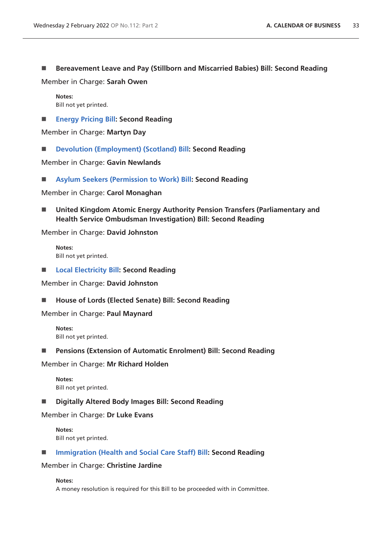**Bereavement Leave and Pay (Stillborn and Miscarried Babies) Bill: Second Reading**

Member in Charge: **Sarah Owen**

**Notes:** Bill not yet printed.

**[Energy Pricing Bill:](https://publications.parliament.uk/pa/bills/cbill/58-02/0053/210053.pdf) Second Reading**

Member in Charge: **Martyn Day**

■ **[Devolution \(Employment\) \(Scotland\) Bill](https://publications.parliament.uk/pa/bills/cbill/58-02/0170/210170.pdf)**: Second Reading

Member in Charge: **Gavin Newlands**

**[Asylum Seekers \(Permission to Work\) Bill](https://publications.parliament.uk/pa/bills/cbill/58-02/0036/210036.pdf): Second Reading**

Member in Charge: **Carol Monaghan**

 **United Kingdom Atomic Energy Authority Pension Transfers (Parliamentary and Health Service Ombudsman Investigation) Bill: Second Reading**

Member in Charge: **David Johnston**

**Notes:** Bill not yet printed.

**[Local Electricity Bill](https://publications.parliament.uk/pa/bills/cbill/58-02/0154/210154.pdf): Second Reading**

Member in Charge: **David Johnston**

■ House of Lords (Elected Senate) Bill: Second Reading

Member in Charge: **Paul Maynard**

**Notes:** Bill not yet printed.

**Pensions (Extension of Automatic Enrolment) Bill: Second Reading**

Member in Charge: **Mr Richard Holden**

**Notes:** Bill not yet printed.

**Digitally Altered Body Images Bill: Second Reading**

Member in Charge: **Dr Luke Evans**

**Notes:** Bill not yet printed.

■ [Immigration \(Health and Social Care Staff\) Bill:](https://publications.parliament.uk/pa/bills/cbill/58-02/0123/210123.pdf) Second Reading

Member in Charge: **Christine Jardine**

**Notes:**

A money resolution is required for this Bill to be proceeded with in Committee.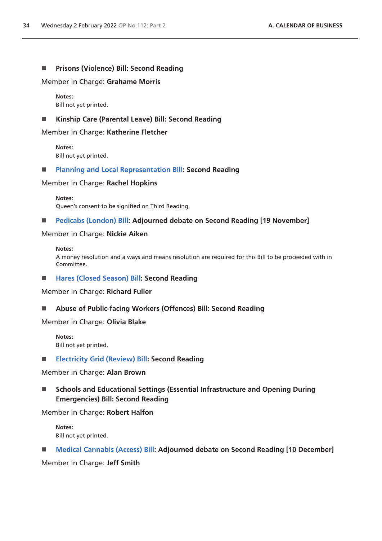#### **Prisons (Violence) Bill: Second Reading**

Member in Charge: **Grahame Morris**

**Notes:** Bill not yet printed.

#### **Kinship Care (Parental Leave) Bill: Second Reading**

Member in Charge: **Katherine Fletcher**

**Notes:** Bill not yet printed.

#### **[Planning and Local Representation Bill:](https://publications.parliament.uk/pa/bills/cbill/58-02/0147/210147.pdf) Second Reading**

Member in Charge: **Rachel Hopkins**

**Notes:** Queen's consent to be signified on Third Reading.

#### **[Pedicabs \(London\) Bill](https://publications.parliament.uk/pa/bills/cbill/58-02/0058/210058.pdf): Adjourned debate on Second Reading [19 November]**

#### Member in Charge: **Nickie Aiken**

#### **Notes:**

A money resolution and a ways and means resolution are required for this Bill to be proceeded with in Committee.

■ [Hares \(Closed Season\) Bill](https://publications.parliament.uk/pa/bills/cbill/58-02/0217/220217.pdf): Second Reading

Member in Charge: **Richard Fuller**

**Abuse of Public-facing Workers (Offences) Bill: Second Reading**

Member in Charge: **Olivia Blake**

**Notes:** Bill not yet printed.

**[Electricity Grid \(Review\) Bill](https://publications.parliament.uk/pa/bills/cbill/58-02/0175/220175.pdf): Second Reading**

Member in Charge: **Alan Brown**

 **Schools and Educational Settings (Essential Infrastructure and Opening During Emergencies) Bill: Second Reading**

Member in Charge: **Robert Halfon**

**Notes:** Bill not yet printed.

■ **[Medical Cannabis \(Access\) Bill](https://publications.parliament.uk/pa/bills/cbill/58-02/0020/210020.pdf): Adjourned debate on Second Reading [10 December]** 

Member in Charge: **Jeff Smith**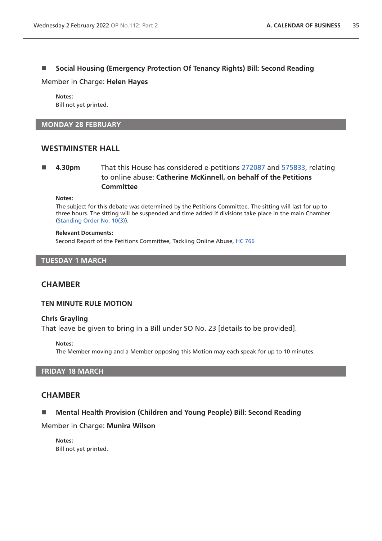# ■ Social Housing (Emergency Protection Of Tenancy Rights) Bill: Second Reading

#### Member in Charge: **Helen Hayes**

**Notes:** Bill not yet printed.

#### **MONDAY 28 FEBRUARY**

# **WESTMINSTER HALL**

# **4.30pm** That this House has considered e-petitions [272087](https://petition.parliament.uk/petitions/272087) and [575833,](https://petition.parliament.uk/petitions/575833) relating to online abuse: **Catherine McKinnell, on behalf of the Petitions Committee**

**Notes:**

The subject for this debate was determined by the Petitions Committee. The sitting will last for up to three hours. The sitting will be suspended and time added if divisions take place in the main Chamber [\(Standing Order No. 10\(3\)](https://publications.parliament.uk/pa/cm5802/cmstords/so_804_2021/so-orders.html#so-10_3)).

#### **Relevant Documents:**

Second Report of the Petitions Committee, Tackling Online Abuse, [HC 766](https://committees.parliament.uk/publications/8669/documents/88038/default/)

#### **TUESDAY 1 MARCH**

# **CHAMBER**

#### **TEN MINUTE RULE MOTION**

#### **Chris Grayling**

That leave be given to bring in a Bill under SO No. 23 [details to be provided].

#### **Notes:**

The Member moving and a Member opposing this Motion may each speak for up to 10 minutes.

#### **FRIDAY 18 MARCH**

## **CHAMBER**

## ■ Mental Health Provision (Children and Young People) Bill: Second Reading

Member in Charge: **Munira Wilson**

**Notes:** Bill not yet printed.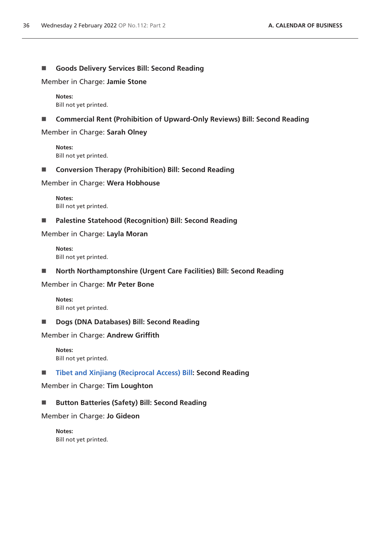## **Goods Delivery Services Bill: Second Reading**

Member in Charge: **Jamie Stone**

**Notes:** Bill not yet printed.

■ Commercial Rent (Prohibition of Upward-Only Reviews) Bill: Second Reading

Member in Charge: **Sarah Olney**

**Notes:** Bill not yet printed.

■ Conversion Therapy (Prohibition) Bill: Second Reading

Member in Charge: **Wera Hobhouse**

**Notes:** Bill not yet printed.

**Palestine Statehood (Recognition) Bill: Second Reading**

Member in Charge: **Layla Moran**

**Notes:** Bill not yet printed.

**North Northamptonshire (Urgent Care Facilities) Bill: Second Reading**

Member in Charge: **Mr Peter Bone**

**Notes:** Bill not yet printed.

■ **Dogs (DNA Databases) Bill: Second Reading** 

Member in Charge: **Andrew Griffith**

**Notes:** Bill not yet printed.

**[Tibet and Xinjiang \(Reciprocal Access\) Bill](https://publications.parliament.uk/pa/bills/cbill/58-02/0148/210148.pdf): Second Reading**

Member in Charge: **Tim Loughton**

## ■ Button Batteries (Safety) Bill: Second Reading

Member in Charge: **Jo Gideon**

**Notes:** Bill not yet printed.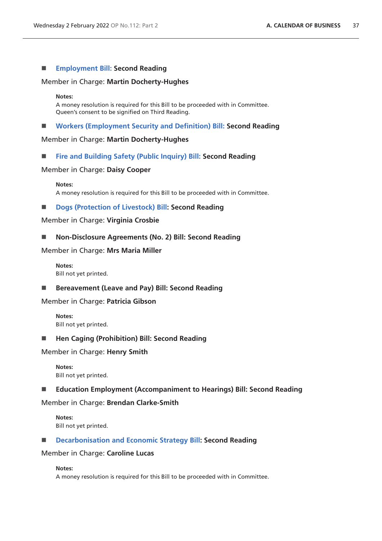## **[Employment Bill:](https://publications.parliament.uk/pa/bills/cbill/58-02/0045/21045.pdf) Second Reading**

#### Member in Charge: **Martin Docherty-Hughes**

#### **Notes:**

A money resolution is required for this Bill to be proceeded with in Committee. Queen's consent to be signified on Third Reading.

**[Workers \(Employment Security and Definition\) Bill:](https://publications.parliament.uk/pa/bills/cbill/58-02/0109/21109.pdf) Second Reading**

## Member in Charge: **Martin Docherty-Hughes**

## **[Fire and Building Safety \(Public Inquiry\) Bill:](https://publications.parliament.uk/pa/bills/cbill/58-02/0142/210142.pdf) Second Reading**

#### Member in Charge: **Daisy Cooper**

#### **Notes:**

A money resolution is required for this Bill to be proceeded with in Committee.

#### ■ **[Dogs \(Protection of Livestock\) Bill](https://publications.parliament.uk/pa/bills/cbill/58-02/0151/210151.pdf): Second Reading**

#### Member in Charge: **Virginia Crosbie**

## ■ Non-Disclosure Agreements (No. 2) Bill: Second Reading

#### Member in Charge: **Mrs Maria Miller**

**Notes:** Bill not yet printed.

■ Bereavement (Leave and Pay) Bill: Second Reading

## Member in Charge: **Patricia Gibson**

**Notes:** Bill not yet printed.

#### ■ Hen Caging (Prohibition) Bill: Second Reading

Member in Charge: **Henry Smith**

**Notes:** Bill not yet printed.

## **Education Employment (Accompaniment to Hearings) Bill: Second Reading**

#### Member in Charge: **Brendan Clarke-Smith**

**Notes:** Bill not yet printed.

## **[Decarbonisation and Economic Strategy Bill:](https://publications.parliament.uk/pa/bills/cbill/58-02/0172/210172.pdf) Second Reading**

#### Member in Charge: **Caroline Lucas**

## **Notes:**

A money resolution is required for this Bill to be proceeded with in Committee.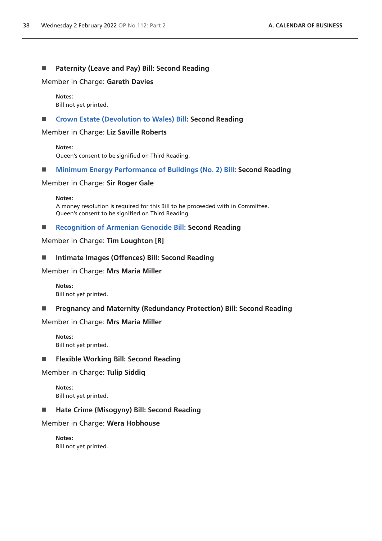## **Paternity (Leave and Pay) Bill: Second Reading**

Member in Charge: **Gareth Davies**

#### **Notes:**

Bill not yet printed.

## **[Crown Estate \(Devolution to Wales\) Bill:](https://publications.parliament.uk/pa/bills/cbill/58-02/0067/210067.pdf) Second Reading**

Member in Charge: **Liz Saville Roberts**

**Notes:** Queen's consent to be signified on Third Reading.

## **[Minimum Energy Performance of Buildings \(No. 2\) Bill](https://publications.parliament.uk/pa/bills/cbill/58-02/0150/210150.pdf): Second Reading**

#### Member in Charge: **Sir Roger Gale**

**Notes:** A money resolution is required for this Bill to be proceeded with in Committee. Queen's consent to be signified on Third Reading.

# **[Recognition of Armenian Genocide Bill: S](https://publications.parliament.uk/pa/bills/cbill/58-02/0190/210190.pdf)econd Reading**

Member in Charge: **Tim Loughton [R]**

#### **Intimate Images (Offences) Bill: Second Reading**

#### Member in Charge: **Mrs Maria Miller**

**Notes:** Bill not yet printed.

## **Pregnancy and Maternity (Redundancy Protection) Bill: Second Reading**

#### Member in Charge: **Mrs Maria Miller**

**Notes:** Bill not yet printed.

#### **Flexible Working Bill: Second Reading**

## Member in Charge: **Tulip Siddiq**

**Notes:** Bill not yet printed.

## ■ Hate Crime (Misogyny) Bill: Second Reading

## Member in Charge: **Wera Hobhouse**

**Notes:** Bill not yet printed.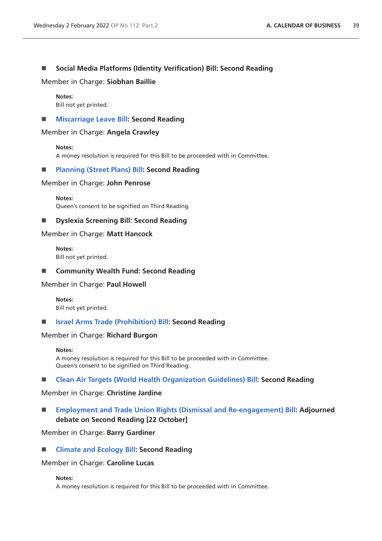# **Social Media Platforms (Identity Verification) Bill: Second Reading**

Member in Charge: **Siobhan Baillie**

**Notes:** Bill not yet printed.

#### **[Miscarriage Leave Bill:](https://publications.parliament.uk/pa/bills/cbill/58-02/0066/210066.pdf) Second Reading**

Member in Charge: **Angela Crawley**

**Notes:**

A money resolution is required for this Bill to be proceeded with in Committee.

## **[Planning \(Street Plans\) Bill:](https://publications.parliament.uk/pa/bills/cbill/58-02/0161/210161.pdf) Second Reading**

#### Member in Charge: **John Penrose**

**Notes:** Queen's consent to be signified on Third Reading.

# **Dyslexia Screening Bill: Second Reading**

#### Member in Charge: **Matt Hancock**

**Notes:** Bill not yet printed.

**Community Wealth Fund: Second Reading**

Member in Charge: **Paul Howell**

**Notes:** Bill not yet printed.

**[Israel Arms Trade \(Prohibition\) Bill](https://publications.parliament.uk/pa/bills/cbill/58-02/0144/210144.pdf): Second Reading**

#### Member in Charge: **Richard Burgon**

#### **Notes:**

A money resolution is required for this Bill to be proceeded with in Committee. Queen's consent to be signified on Third Reading.

## **[Clean Air Targets \(World Health Organization Guidelines\) Bill](https://publications.parliament.uk/pa/bills/cbill/58-02/0052/210052.pdf): Second Reading**

## Member in Charge: **Christine Jardine**

 **[Employment and Trade Union Rights \(Dismissal and Re-engagement\) Bill:](https://publications.parliament.uk/pa/bills/cbill/58-02/0015/210015.pdf) Adjourned debate on Second Reading [22 October]**

# Member in Charge: **Barry Gardiner**

## **[Climate and Ecology Bill](https://publications.parliament.uk/pa/bills/cbill/58-02/0061/21061.pdf): Second Reading**

#### Member in Charge: **Caroline Lucas**

#### **Notes:**

A money resolution is required for this Bill to be proceeded with in Committee.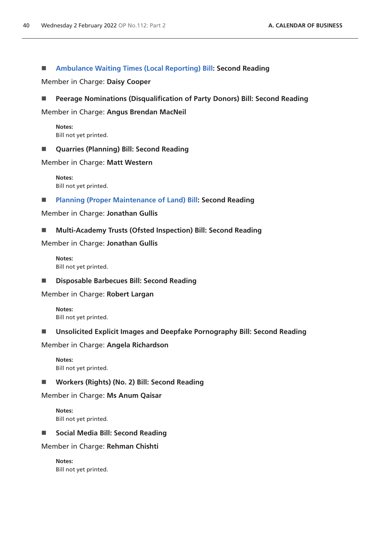## **[Ambulance Waiting Times \(Local Reporting\) Bill:](https://publications.parliament.uk/pa/bills/cbill/58-02/0209/210209.pdf) Second Reading**

Member in Charge: **Daisy Cooper**

**Peerage Nominations (Disqualification of Party Donors) Bill: Second Reading**

Member in Charge: **Angus Brendan MacNeil**

**Notes:** Bill not yet printed.

**Quarries (Planning) Bill: Second Reading**

Member in Charge: **Matt Western**

**Notes:** Bill not yet printed.

**[Planning \(Proper Maintenance of Land\) Bill](https://publications.parliament.uk/pa/bills/cbill/58-02/0130/210130.pdf): Second Reading**

Member in Charge: **Jonathan Gullis**

**Multi-Academy Trusts (Ofsted Inspection) Bill: Second Reading**

Member in Charge: **Jonathan Gullis**

**Notes:** Bill not yet printed.

**Disposable Barbecues Bill: Second Reading**

Member in Charge: **Robert Largan**

**Notes:** Bill not yet printed.

## **Unsolicited Explicit Images and Deepfake Pornography Bill: Second Reading**

Member in Charge: **Angela Richardson**

**Notes:** Bill not yet printed.

**Workers (Rights) (No. 2) Bill: Second Reading**

Member in Charge: **Ms Anum Qaisar**

**Notes:** Bill not yet printed.

■ Social Media Bill: Second Reading

Member in Charge: **Rehman Chishti**

**Notes:** Bill not yet printed.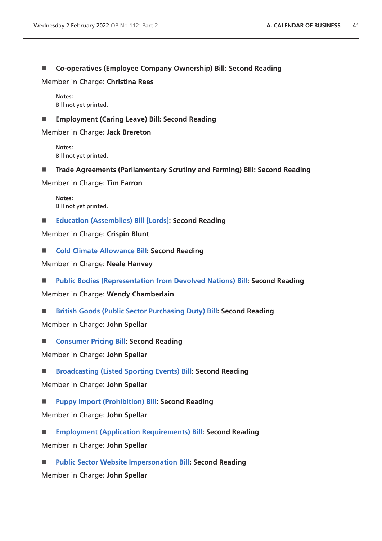**Co-operatives (Employee Company Ownership) Bill: Second Reading**

Member in Charge: **Christina Rees**

**Notes:** Bill not yet printed.

**Employment (Caring Leave) Bill: Second Reading**

Member in Charge: **Jack Brereton**

**Notes:** Bill not yet printed.

**Trade Agreements (Parliamentary Scrutiny and Farming) Bill: Second Reading**

Member in Charge: **Tim Farron**

**Notes:** Bill not yet printed.

**[Education \(Assemblies\) Bill \[Lords\]](https://publications.parliament.uk/pa/bills/cbill/58-02/0216/210216v1.pdf): Second Reading**

Member in Charge: **Crispin Blunt**

■ **[Cold Climate Allowance Bill:](https://publications.parliament.uk/pa/bills/cbill/58-02/0218/210218.pdf) Second Reading** 

Member in Charge: **Neale Hanvey**

**[Public Bodies \(Representation from Devolved Nations\) Bill:](https://publications.parliament.uk/pa/bills/cbill/58-02/0050/210050.pdf) Second Reading**

Member in Charge: **Wendy Chamberlain**

**[British Goods \(Public Sector Purchasing Duty\) Bill:](https://publications.parliament.uk/pa/bills/cbill/58-02/0043/210043.pdf) Second Reading**

Member in Charge: **John Spellar**

■ **[Consumer Pricing Bill:](https://publications.parliament.uk/pa/bills/cbill/58-02/0084/210084.pdf) Second Reading** 

Member in Charge: **John Spellar**

**[Broadcasting \(Listed Sporting Events\) Bill:](https://publications.parliament.uk/pa/bills/cbill/58-02/0085/210085.pdf) Second Reading**

Member in Charge: **John Spellar**

**[Puppy Import \(Prohibition\) Bill:](https://publications.parliament.uk/pa/bills/cbill/58-02/0086/210086.pdf) Second Reading**

Member in Charge: **John Spellar**

 **[Employment \(Application Requirements\) Bill](https://publications.parliament.uk/pa/bills/cbill/58-02/0087/210087.pdf): Second Reading** Member in Charge: **John Spellar**

 **[Public Sector Website Impersonation Bill](https://bills.parliament.uk/publications/43648/documents/954): Second Reading** Member in Charge: **John Spellar**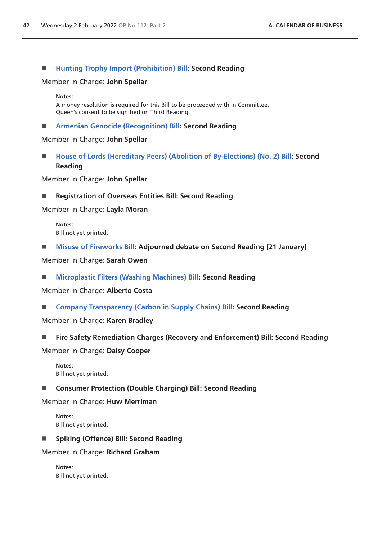## **[Hunting Trophy Import \(Prohibition\) Bill](https://publications.parliament.uk/pa/bills/cbill/58-02/0089/210089.pdf): Second Reading**

#### Member in Charge: **John Spellar**

#### **Notes:**

A money resolution is required for this Bill to be proceeded with in Committee. Queen's consent to be signified on Third Reading.

**[Armenian Genocide \(Recognition\) Bill](https://publications.parliament.uk/pa/bills/cbill/58-02/0090/210090.pdf): Second Reading**

#### Member in Charge: **John Spellar**

 **[House of Lords \(Hereditary Peers\) \(Abolition of By-Elections\) \(No. 2\) Bill:](https://publications.parliament.uk/pa/bills/cbill/58-02/0091/210091.pdf) Second Reading**

Member in Charge: **John Spellar**

■ Registration of Overseas Entities Bill: Second Reading

Member in Charge: **Layla Moran**

**Notes:** Bill not yet printed.

■ [Misuse of Fireworks Bill:](https://publications.parliament.uk/pa/bills/cbill/58-02/0156/210156.pdf) Adjourned debate on Second Reading [21 January]

Member in Charge: **Sarah Owen**

**[Microplastic Filters \(Washing Machines\) Bill](https://publications.parliament.uk/pa/bills/cbill/58-02/0205/210205.pdf): Second Reading**

Member in Charge: **Alberto Costa**

**[Company Transparency \(Carbon in Supply Chains\) Bill](https://publications.parliament.uk/pa/bills/cbill/58-02/0169/210169.pdf): Second Reading**

Member in Charge: **Karen Bradley**

**Fire Safety Remediation Charges (Recovery and Enforcement) Bill: Second Reading**

Member in Charge: **Daisy Cooper**

**Notes:** Bill not yet printed.

**Consumer Protection (Double Charging) Bill: Second Reading**

Member in Charge: **Huw Merriman**

**Notes:** Bill not yet printed.

**Spiking (Offence) Bill: Second Reading**

Member in Charge: **Richard Graham**

**Notes:** Bill not yet printed.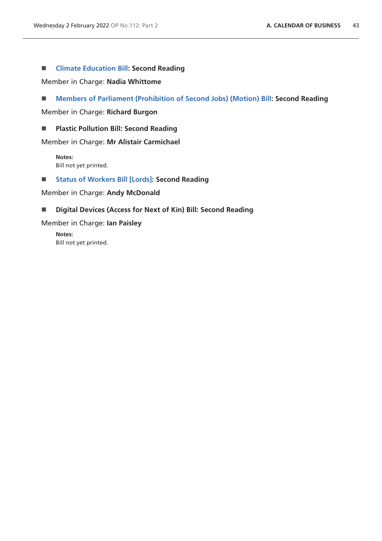## **[Climate Education Bill](https://publications.parliament.uk/pa/bills/cbill/58-02/0197/210197.pdf): Second Reading**

Member in Charge: **Nadia Whittome**

**[Members of Parliament \(Prohibition of Second Jobs\) \(Motion\) Bill:](https://publications.parliament.uk/pa/bills/cbill/58-02/0201/210201.pdf) Second Reading**

Member in Charge: **Richard Burgon**

**Plastic Pollution Bill: Second Reading**

Member in Charge: **Mr Alistair Carmichael**

**Notes:** Bill not yet printed.

**[Status of Workers Bill \[Lords\]:](https://publications.parliament.uk/pa/bills/cbill/58-02/0242/220131.pdf) Second Reading**

Member in Charge: **Andy McDonald**

#### **Digital Devices (Access for Next of Kin) Bill: Second Reading**

Member in Charge: **Ian Paisley**

**Notes:** Bill not yet printed.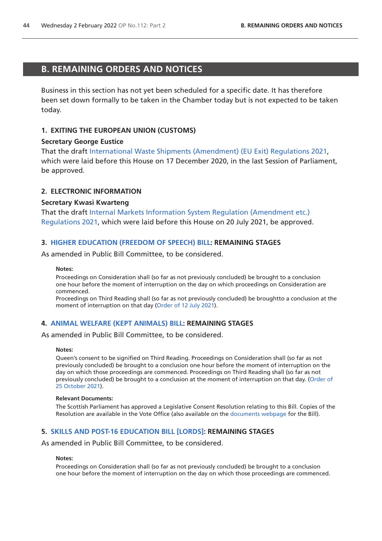# <span id="page-43-0"></span>**B. REMAINING ORDERS AND NOTICES**

Business in this section has not yet been scheduled for a specific date. It has therefore been set down formally to be taken in the Chamber today but is not expected to be taken today.

## **1. EXITING THE EUROPEAN UNION (CUSTOMS)**

#### **Secretary George Eustice**

That the draft [International Waste Shipments \(Amendment\) \(EU Exit\) Regulations 2021,](https://www.legislation.gov.uk/ukdsi/2021/9780348217650/pdfs/ukdsi_9780348217650_en.pdf) which were laid before this House on 17 December 2020, in the last Session of Parliament, be approved.

## **2. ELECTRONIC INFORMATION**

#### **Secretary Kwasi Kwarteng**

That the draft [Internal Markets Information System Regulation \(Amendment etc.\)](https://www.legislation.gov.uk/ukdsi/2021/9780348226126/pdfs/ukdsi_9780348226126_en.pdf)  [Regulations 2021](https://www.legislation.gov.uk/ukdsi/2021/9780348226126/pdfs/ukdsi_9780348226126_en.pdf), which were laid before this House on 20 July 2021, be approved.

## **3. [HIGHER EDUCATION \(FREEDOM OF SPEECH\) BILL](https://publications.parliament.uk/pa/bills/cbill/58-02/0167/210923.pdf): REMAINING STAGES**

As amended in Public Bill Committee, to be considered.

#### **Notes:**

Proceedings on Consideration shall (so far as not previously concluded) be brought to a conclusion one hour before the moment of interruption on the day on which proceedings on Consideration are commenced.

Proceedings on Third Reading shall (so far as not previously concluded) be broughtto a conclusion at the moment of interruption on that day ([Order of 12 July](https://commonsbusiness.parliament.uk/document/49375/pdf) 2021).

## **4. [ANIMAL WELFARE \(KEPT ANIMALS\) BILL](https://publications.parliament.uk/pa/bills/cbill/58-02/0195/210195.pdf): REMAINING STAGES**

As amended in Public Bill Committee, to be considered.

#### **Notes:**

Queen's consent to be signified on Third Reading. Proceedings on Consideration shall (so far as not previously concluded) be brought to a conclusion one hour before the moment of interruption on the day on which those proceedings are commenced. Proceedings on Third Reading shall (so far as not previously concluded) be brought to a conclusion at the moment of interruption on that day. ([Order of](https://commonsbusiness.parliament.uk/document/50975/pdf)  [25 October 2021](https://commonsbusiness.parliament.uk/document/50975/pdf)).

#### **Relevant Documents:**

The Scottish Parliament has approved a Legislative Consent Resolution relating to this Bill. Copies of the Resolution are available in the Vote Office (also available on the [documents webpage](https://bills.parliament.uk/bills/2880/publications) for the Bill).

## **5. [SKILLS AND POST-16 EDUCATION BILL \[LORDS\]:](https://publications.parliament.uk/pa/bills/cbill/58-02/0212/210212.pdf) REMAINING STAGES**

As amended in Public Bill Committee, to be considered.

#### **Notes:**

Proceedings on Consideration shall (so far as not previously concluded) be brought to a conclusion one hour before the moment of interruption on the day on which those proceedings are commenced.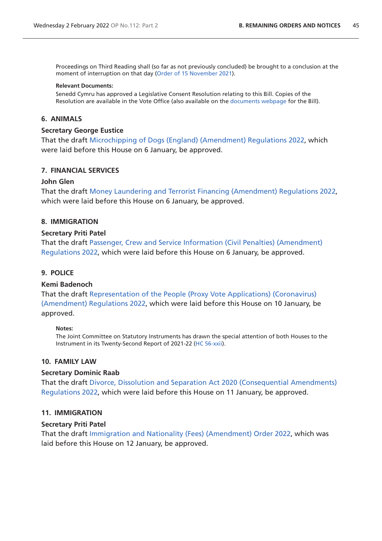Proceedings on Third Reading shall (so far as not previously concluded) be brought to a conclusion at the moment of interruption on that day ([Order of 15 November](https://commonsbusiness.parliament.uk/document/51638/pdf) 2021).

#### **Relevant Documents:**

Senedd Cymru has approved a Legislative Consent Resolution relating to this Bill. Copies of the Resolution are available in the Vote Office (also available on the [documents webpage](https://bills.parliament.uk/bills/2868/publications) for the Bill).

#### **6. ANIMALS**

#### **Secretary George Eustice**

That the draft [Microchipping of Dogs \(England\) \(Amendment\) Regulations 2022](https://www.legislation.gov.uk/ukdsi/2022/9780348230796/pdfs/ukdsi_9780348230796_en.pdf), which were laid before this House on 6 January, be approved.

#### **7. FINANCIAL SERVICES**

#### **John Glen**

That the draft [Money Laundering and Terrorist Financing \(Amendment\) Regulations 2022](https://www.legislation.gov.uk/ukdsi/2022/9780348230871/pdfs/ukdsi_9780348230871_en.pdf), which were laid before this House on 6 January, be approved.

#### **8. IMMIGRATION**

#### **Secretary Priti Patel**

That the draft [Passenger, Crew and Service Information \(Civil Penalties\) \(Amendment\)](https://www.legislation.gov.uk/ukdsi/2022/9780348230789/pdfs/ukdsi_9780348230789_en.pdf)  [Regulations 2022](https://www.legislation.gov.uk/ukdsi/2022/9780348230789/pdfs/ukdsi_9780348230789_en.pdf), which were laid before this House on 6 January, be approved.

#### **9. POLICE**

#### **Kemi Badenoch**

That the draf[t Representation of the People \(Proxy Vote Applications\) \(Coronavirus\)](https://www.legislation.gov.uk/ukdsi/2022/9780348230925/pdfs/ukdsi_9780348230925_en.pdf)  [\(Amendment\) Regulations 2022,](https://www.legislation.gov.uk/ukdsi/2022/9780348230925/pdfs/ukdsi_9780348230925_en.pdf) which were laid before this House on 10 January, be approved.

#### **Notes:**

The Joint Committee on Statutory Instruments has drawn the special attention of both Houses to the Instrument in its Twenty-Second Report of 2021-22 ([HC 56-xxii](https://committees.parliament.uk/publications/8649/documents/87780/default/)).

## **10. FAMILY LAW**

#### **Secretary Dominic Raab**

That the draft [Divorce, Dissolution and Separation Act 2020 \(Consequential Amendments\)](https://www.legislation.gov.uk/ukdsi/2022/9780348230949/pdfs/ukdsi_9780348230949_en.pdf)  [Regulations 2022](https://www.legislation.gov.uk/ukdsi/2022/9780348230949/pdfs/ukdsi_9780348230949_en.pdf), which were laid before this House on 11 January, be approved.

#### **11. IMMIGRATION**

#### **Secretary Priti Patel**

That the draft [Immigration and Nationality \(Fees\) \(Amendment\) Order 2022](https://www.legislation.gov.uk/ukdsi/2022/9780348231007/pdfs/ukdsi_9780348231007_en.pdf), which was laid before this House on 12 January, be approved.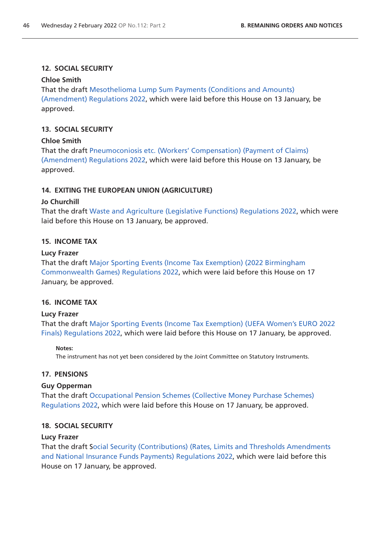# **12. SOCIAL SECURITY**

# **Chloe Smith**

That the draft [Mesothelioma Lump Sum Payments \(Conditions and Amounts\)](https://www.legislation.gov.uk/ukdsi/2022/9780348230932/pdfs/ukdsi_9780348230932_en.pdf)  [\(Amendment\) Regulations 2022,](https://www.legislation.gov.uk/ukdsi/2022/9780348230932/pdfs/ukdsi_9780348230932_en.pdf) which were laid before this House on 13 January, be approved.

# **13. SOCIAL SECURITY**

# **Chloe Smith**

That the draft [Pneumoconiosis etc. \(Workers' Compensation\) \(Payment of Claims\)](https://www.legislation.gov.uk/ukdsi/2022/9780348230994/pdfs/ukdsi_9780348230994_en.pdf)  [\(Amendment\) Regulations 2022,](https://www.legislation.gov.uk/ukdsi/2022/9780348230994/pdfs/ukdsi_9780348230994_en.pdf) which were laid before this House on 13 January, be approved.

# **14. EXITING THE EUROPEAN UNION (AGRICULTURE)**

# **Jo Churchill**

That the draft [Waste and Agriculture \(Legislative Functions\) Regulations 2022](https://www.legislation.gov.uk/ukdsi/2022/9780348231113/pdfs/ukdsi_9780348231113_en.pdf), which were laid before this House on 13 January, be approved.

# **15. INCOME TAX**

# **Lucy Frazer**

That the draft [Major Sporting Events \(Income Tax Exemption\) \(2022 Birmingham](https://www.legislation.gov.uk/ukdsi/2022/9780348231120/pdfs/ukdsi_9780348231120_en.pdf)  [Commonwealth Games\) Regulations 2022](https://www.legislation.gov.uk/ukdsi/2022/9780348231120/pdfs/ukdsi_9780348231120_en.pdf), which were laid before this House on 17 January, be approved.

# **16. INCOME TAX**

# **Lucy Frazer**

That the draft [Major Sporting Events \(Income Tax Exemption\) \(UEFA Women's EURO 2022](https://www.legislation.gov.uk/ukdsi/2022/9780348231168/pdfs/ukdsi_9780348231168_en.pdf)  [Finals\) Regulations 2022,](https://www.legislation.gov.uk/ukdsi/2022/9780348231168/pdfs/ukdsi_9780348231168_en.pdf) which were laid before this House on 17 January, be approved.

## **Notes:**

The instrument has not yet been considered by the Joint Committee on Statutory Instruments.

## **17. PENSIONS**

## **Guy Opperman**

That the draft [Occupational Pension Schemes \(Collective Money Purchase Schemes\)](https://www.legislation.gov.uk/ukdsi/2022/9780348231182/pdfs/ukdsi_9780348231182_en.pdf)  [Regulations 2022](https://www.legislation.gov.uk/ukdsi/2022/9780348231182/pdfs/ukdsi_9780348231182_en.pdf), which were laid before this House on 17 January, be approved.

## **18. SOCIAL SECURITY**

## **Lucy Frazer**

That the draft [Social Security \(Contributions\) \(Rates, Limits and Thresholds Amendments](https://www.legislation.gov.uk/ukdsi/2022/9780348231175/pdfs/ukdsi_9780348231175_en.pdf)  [and National Insurance Funds Payments\) Regulations 2022,](https://www.legislation.gov.uk/ukdsi/2022/9780348231175/pdfs/ukdsi_9780348231175_en.pdf) which were laid before this House on 17 January, be approved.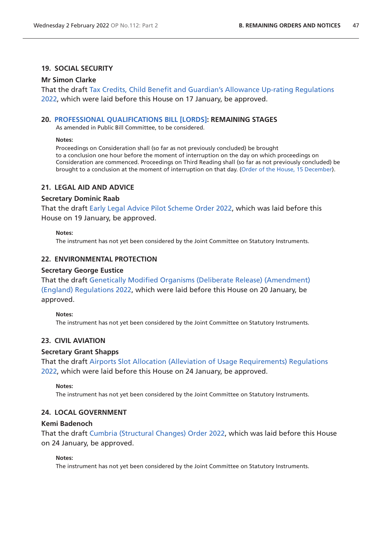## **19. SOCIAL SECURITY**

#### **Mr Simon Clarke**

That the draft [Tax Credits, Child Benefit and Guardian's Allowance Up-rating Regulations](https://www.legislation.gov.uk/ukdsi/2022/9780348231205/pdfs/ukdsi_9780348231205_en.pdf)  [2022,](https://www.legislation.gov.uk/ukdsi/2022/9780348231205/pdfs/ukdsi_9780348231205_en.pdf) which were laid before this House on 17 January, be approved.

#### **20. [PROFESSIONAL QUALIFICATIONS BILL \[LORDS\]:](https://publications.parliament.uk/pa/bills/cbill/58-02/0231/210231.pdf) REMAINING STAGES**

As amended in Public Bill Committee, to be considered.

#### **Notes:**

Proceedings on Consideration shall (so far as not previously concluded) be brought to a conclusion one hour before the moment of interruption on the day on which proceedings on Consideration are commenced. Proceedings on Third Reading shall (so far as not previously concluded) be brought to a conclusion at the moment of interruption on that day. [\(Order of the House, 15 December](https://commonsbusiness.parliament.uk/document/52786/pdf)).

#### **21. LEGAL AID AND ADVICE**

#### **Secretary Dominic Raab**

That the draft [Early Legal Advice Pilot Scheme Order 2022](https://www.legislation.gov.uk/ukdsi/2022/9780348231311/pdfs/ukdsi_9780348231311_en.pdf), which was laid before this House on 19 January, be approved.

#### **Notes:**

The instrument has not yet been considered by the Joint Committee on Statutory Instruments.

#### **22. ENVIRONMENTAL PROTECTION**

#### **Secretary George Eustice**

That the draft [Genetically Modified Organisms \(Deliberate Release\) \(Amendment\)](https://www.legislation.gov.uk/ukdsi/2022/9780348231328/pdfs/ukdsi_9780348231328_en.pdf)  [\(England\) Regulations 2022,](https://www.legislation.gov.uk/ukdsi/2022/9780348231328/pdfs/ukdsi_9780348231328_en.pdf) which were laid before this House on 20 January, be approved.

#### **Notes:**

The instrument has not yet been considered by the Joint Committee on Statutory Instruments.

#### **23. CIVIL AVIATION**

#### **Secretary Grant Shapps**

That the draft [Airports Slot Allocation \(Alleviation of Usage Requirements\) Regulations](https://www.legislation.gov.uk/ukdsi/2022/9780348231403/pdfs/ukdsi_9780348231403_en.pdf)  [2022,](https://www.legislation.gov.uk/ukdsi/2022/9780348231403/pdfs/ukdsi_9780348231403_en.pdf) which were laid before this House on 24 January, be approved.

#### **Notes:**

The instrument has not yet been considered by the Joint Committee on Statutory Instruments.

#### **24. LOCAL GOVERNMENT**

#### **Kemi Badenoch**

That the draft [Cumbria \(Structural Changes\) Order 2022](https://www.legislation.gov.uk/ukdsi/2022/9780348231359/pdfs/ukdsi_9780348231359_en.pdf), which was laid before this House on 24 January, be approved.

#### **Notes:**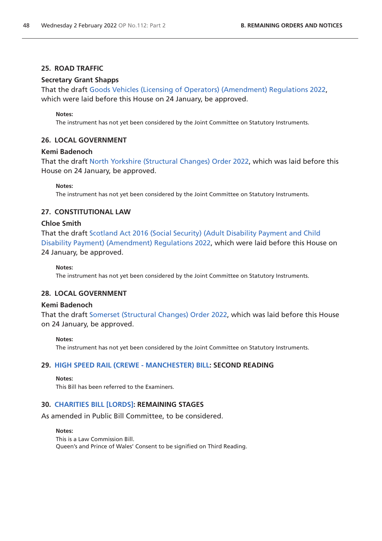## **25. ROAD TRAFFIC**

## **Secretary Grant Shapps**

That the draft [Goods Vehicles \(Licensing of Operators\) \(Amendment\) Regulations 2022,](https://www.legislation.gov.uk/ukdsi/2022/9780348230987/pdfs/ukdsi_9780348230987_en.pdf) which were laid before this House on 24 January, be approved.

#### **Notes:**

The instrument has not yet been considered by the Joint Committee on Statutory Instruments.

# **26. LOCAL GOVERNMENT**

#### **Kemi Badenoch**

That the draft [North Yorkshire \(Structural Changes\) Order 2022,](https://www.legislation.gov.uk/ukdsi/2022/9780348231380/pdfs/ukdsi_9780348231380_en.pdf) which was laid before this House on 24 January, be approved.

**Notes:**

The instrument has not yet been considered by the Joint Committee on Statutory Instruments.

# **27. CONSTITUTIONAL LAW**

#### **Chloe Smith**

That the draft [Scotland Act 2016 \(Social Security\) \(Adult Disability Payment and Child](https://www.legislation.gov.uk/ukdsi/2022/9780348231335/pdfs/ukdsi_9780348231335_en.pdf)  [Disability Payment\) \(Amendment\) Regulations 2022](https://www.legislation.gov.uk/ukdsi/2022/9780348231335/pdfs/ukdsi_9780348231335_en.pdf), which were laid before this House on 24 January, be approved.

#### **Notes:**

The instrument has not yet been considered by the Joint Committee on Statutory Instruments.

# **28. LOCAL GOVERNMENT**

#### **Kemi Badenoch**

That the draft [Somerset \(Structural Changes\) Order 2022](https://www.legislation.gov.uk/ukdsi/2022/9780348231366/pdfs/ukdsi_9780348231366_en.pdf), which was laid before this House on 24 January, be approved.

#### **Notes:**

The instrument has not yet been considered by the Joint Committee on Statutory Instruments.

## **29. [HIGH SPEED RAIL \(CREWE - MANCHESTER\) BILL:](https://publications.parliament.uk/pa/bills/cbill/58-02/0228/210228.pdf) SECOND READING**

#### **Notes:**

This Bill has been referred to the Examiners.

# **30. [CHARITIES BILL \[LORDS\]:](https://publications.parliament.uk/pa/bills/cbill/58-02/0237/210237.pdf) REMAINING STAGES**

As amended in Public Bill Committee, to be considered.

#### **Notes:**

This is a Law Commission Bill. Queen's and Prince of Wales' Consent to be signified on Third Reading.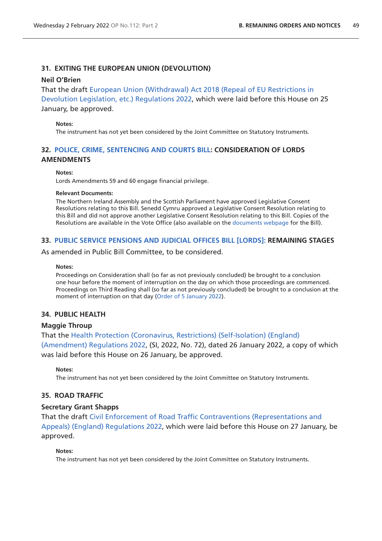# **31. EXITING THE EUROPEAN UNION (DEVOLUTION)**

## **Neil O'Brien**

That the draft [European Union \(Withdrawal\) Act 2018 \(Repeal of EU Restrictions in](https://www.legislation.gov.uk/ukdsi/2022/9780348231342/pdfs/ukdsi_9780348231342_en.pdf)  [Devolution Legislation, etc.\) Regulations 2022](https://www.legislation.gov.uk/ukdsi/2022/9780348231342/pdfs/ukdsi_9780348231342_en.pdf), which were laid before this House on 25

January, be approved.

#### **Notes:**

The instrument has not yet been considered by the Joint Committee on Statutory Instruments.

# **32. [POLICE, CRIME, SENTENCING AND COURTS BILL](https://publications.parliament.uk/pa/bills/cbill/58-02/0239/210239.pdf): CONSIDERATION OF LORDS AMENDMENTS**

#### **Notes:**

Lords Amendments 59 and 60 engage financial privilege.

#### **Relevant Documents:**

The Northern Ireland Assembly and the Scottish Parliament have approved Legislative Consent Resolutions relating to this Bill. Senedd Cymru approved a Legislative Consent Resolution relating to this Bill and did not approve another Legislative Consent Resolution relating to this Bill. Copies of the Resolutions are available in the Vote Office (also available on the [documents webpage](https://bills.parliament.uk/bills/2839/publications) for the Bill).

## **33. [PUBLIC SERVICE PENSIONS AND JUDICIAL OFFICES BILL \[LORDS\]:](https://publications.parliament.uk/pa/bills/cbill/58-02/0241/21241v2.pdf) REMAINING STAGES**

As amended in Public Bill Committee, to be considered.

#### **Notes:**

Proceedings on Consideration shall (so far as not previously concluded) be brought to a conclusion one hour before the moment of interruption on the day on which those proceedings are commenced. Proceedings on Third Reading shall (so far as not previously concluded) be brought to a conclusion at the moment of interruption on that day ([Order of 5 January 2022\)](https://commonsbusiness.parliament.uk/document/52949/pdf).

## **34. PUBLIC HEALTH**

## **Maggie Throup**

That the [Health Protection \(Coronavirus, Restrictions\) \(Self-Isolation\) \(England\)](https://www.legislation.gov.uk/uksi/2022/72/pdfs/uksi_20220072_en.pdf)  [\(Amendment\) Regulations 2022,](https://www.legislation.gov.uk/uksi/2022/72/pdfs/uksi_20220072_en.pdf) (SI, 2022, No. 72), dated 26 January 2022, a copy of which was laid before this House on 26 January, be approved.

**Notes:**

The instrument has not yet been considered by the Joint Committee on Statutory Instruments.

# **35. ROAD TRAFFIC**

## **Secretary Grant Shapps**

That the draft [Civil Enforcement of Road Traffic Contraventions \(Representations and](https://www.legislation.gov.uk/ukdsi/2022/9780348231564/pdfs/ukdsi_9780348231564_en.pdf)  [Appeals\) \(England\) Regulations 2022,](https://www.legislation.gov.uk/ukdsi/2022/9780348231564/pdfs/ukdsi_9780348231564_en.pdf) which were laid before this House on 27 January, be approved.

#### **Notes:**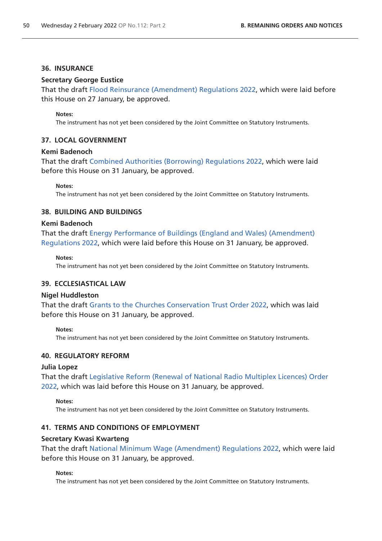#### **36. INSURANCE**

## **Secretary George Eustice**

That the draft [Flood Reinsurance \(Amendment\) Regulations 2022,](https://www.legislation.gov.uk/ukdsi/2022/9780348231489/pdfs/ukdsi_9780348231489_en.pdf) which were laid before this House on 27 January, be approved.

#### **Notes:**

The instrument has not yet been considered by the Joint Committee on Statutory Instruments.

## **37. LOCAL GOVERNMENT**

#### **Kemi Badenoch**

That the draft [Combined Authorities \(Borrowing\) Regulations 2022](https://www.legislation.gov.uk/ukdsi/2022/9780348231625/pdfs/ukdsi_9780348231625_en.pdf), which were laid before this House on 31 January, be approved.

**Notes:**

The instrument has not yet been considered by the Joint Committee on Statutory Instruments.

## **38. BUILDING AND BUILDINGS**

## **Kemi Badenoch**

That the draft [Energy Performance of Buildings \(England and Wales\) \(Amendment\)](https://www.legislation.gov.uk/ukdsi/2022/9780348231670/pdfs/ukdsi_9780348231670_en.pdf)  [Regulations 2022](https://www.legislation.gov.uk/ukdsi/2022/9780348231670/pdfs/ukdsi_9780348231670_en.pdf), which were laid before this House on 31 January, be approved.

#### **Notes:**

The instrument has not yet been considered by the Joint Committee on Statutory Instruments.

## **39. ECCLESIASTICAL LAW**

#### **Nigel Huddleston**

That the draft [Grants to the Churches Conservation Trust Order 2022,](https://www.legislation.gov.uk/ukdsi/2022/9780348231724/pdfs/ukdsi_9780348231724_en.pdf) which was laid before this House on 31 January, be approved.

#### **Notes:**

The instrument has not yet been considered by the Joint Committee on Statutory Instruments.

#### **40. REGULATORY REFORM**

#### **Julia Lopez**

That the draft [Legislative Reform \(Renewal of National Radio Multiplex Licences\) Order](https://www.legislation.gov.uk/ukdsi/2022/9780348231663/pdfs/ukdsi_9780348231663_en.pdf)  [2022,](https://www.legislation.gov.uk/ukdsi/2022/9780348231663/pdfs/ukdsi_9780348231663_en.pdf) which was laid before this House on 31 January, be approved.

#### **Notes:**

The instrument has not yet been considered by the Joint Committee on Statutory Instruments.

# **41. TERMS AND CONDITIONS OF EMPLOYMENT**

#### **Secretary Kwasi Kwarteng**

That the draft [National Minimum Wage \(Amendment\) Regulations 2022,](https://www.legislation.gov.uk/ukdsi/2022/9780348231601/pdfs/ukdsi_9780348231601_en.pdf) which were laid before this House on 31 January, be approved.

#### **Notes:**